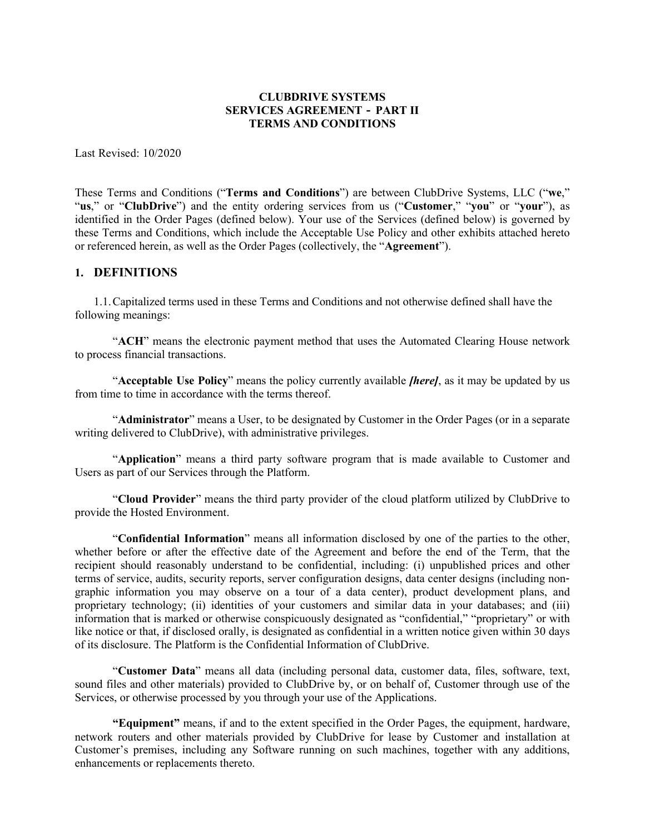#### **CLUBDRIVE SYSTEMS SERVICES AGREEMENT** ‐ **PART II TERMS AND CONDITIONS**

Last Revised: 10/2020

These Terms and Conditions ("**Terms and Conditions**") are between ClubDrive Systems, LLC ("**we**," "**us**," or "**ClubDrive**") and the entity ordering services from us ("**Customer**," "**you**" or "**your**"), as identified in the Order Pages (defined below). Your use of the Services (defined below) is governed by these Terms and Conditions, which include the Acceptable Use Policy and other exhibits attached hereto or referenced herein, as well as the Order Pages (collectively, the "**Agreement**").

# **1. DEFINITIONS**

1.1.Capitalized terms used in these Terms and Conditions and not otherwise defined shall have the following meanings:

"**ACH**" means the electronic payment method that uses the Automated Clearing House network to process financial transactions.

"**Acceptable Use Policy**" means the policy currently available *[here]*, as it may be updated by us from time to time in accordance with the terms thereof.

"**Administrator**" means a User, to be designated by Customer in the Order Pages (or in a separate writing delivered to ClubDrive), with administrative privileges.

"**Application**" means a third party software program that is made available to Customer and Users as part of our Services through the Platform.

"**Cloud Provider**" means the third party provider of the cloud platform utilized by ClubDrive to provide the Hosted Environment.

"**Confidential Information**" means all information disclosed by one of the parties to the other, whether before or after the effective date of the Agreement and before the end of the Term, that the recipient should reasonably understand to be confidential, including: (i) unpublished prices and other terms of service, audits, security reports, server configuration designs, data center designs (including nongraphic information you may observe on a tour of a data center), product development plans, and proprietary technology; (ii) identities of your customers and similar data in your databases; and (iii) information that is marked or otherwise conspicuously designated as "confidential," "proprietary" or with like notice or that, if disclosed orally, is designated as confidential in a written notice given within 30 days of its disclosure. The Platform is the Confidential Information of ClubDrive.

"**Customer Data**" means all data (including personal data, customer data, files, software, text, sound files and other materials) provided to ClubDrive by, or on behalf of, Customer through use of the Services, or otherwise processed by you through your use of the Applications.

**"Equipment"** means, if and to the extent specified in the Order Pages, the equipment, hardware, network routers and other materials provided by ClubDrive for lease by Customer and installation at Customer's premises, including any Software running on such machines, together with any additions, enhancements or replacements thereto.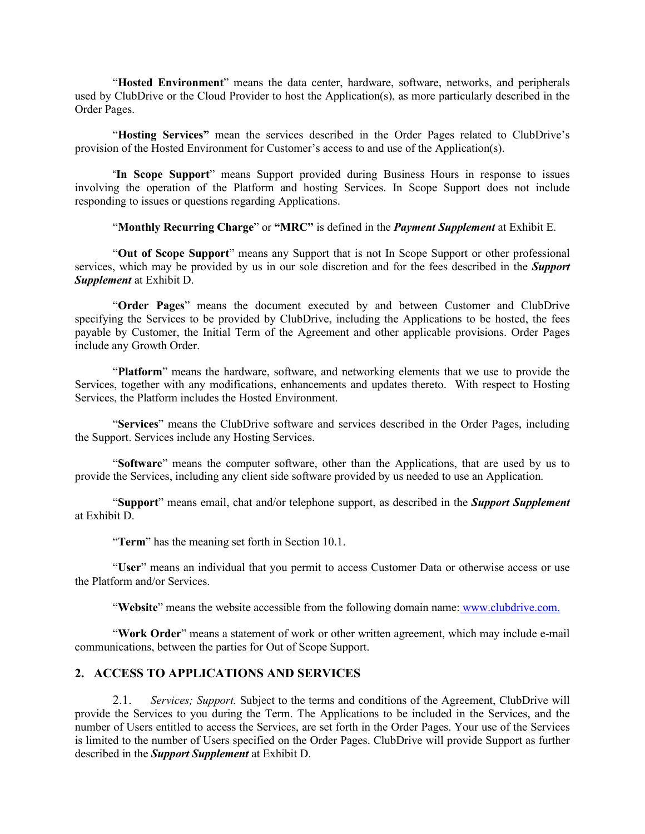"**Hosted Environment**" means the data center, hardware, software, networks, and peripherals used by ClubDrive or the Cloud Provider to host the Application(s), as more particularly described in the Order Pages.

"**Hosting Services"** mean the services described in the Order Pages related to ClubDrive's provision of the Hosted Environment for Customer's access to and use of the Application(s).

"**In Scope Support**" means Support provided during Business Hours in response to issues involving the operation of the Platform and hosting Services. In Scope Support does not include responding to issues or questions regarding Applications.

"**Monthly Recurring Charge**" or **"MRC"** is defined in the *Payment Supplement* at Exhibit E.

"**Out of Scope Support**" means any Support that is not In Scope Support or other professional services, which may be provided by us in our sole discretion and for the fees described in the *Support Supplement* at Exhibit D.

"**Order Pages**" means the document executed by and between Customer and ClubDrive specifying the Services to be provided by ClubDrive, including the Applications to be hosted, the fees payable by Customer, the Initial Term of the Agreement and other applicable provisions. Order Pages include any Growth Order.

"**Platform**" means the hardware, software, and networking elements that we use to provide the Services, together with any modifications, enhancements and updates thereto. With respect to Hosting Services, the Platform includes the Hosted Environment.

"**Services**" means the ClubDrive software and services described in the Order Pages, including the Support. Services include any Hosting Services.

"**Software**" means the computer software, other than the Applications, that are used by us to provide the Services, including any client side software provided by us needed to use an Application.

"**Support**" means email, chat and/or telephone support, as described in the *Support Supplement*  at Exhibit D.

"**Term**" has the meaning set forth in Section 10.1.

"**User**" means an individual that you permit to access Customer Data or otherwise access or use the Platform and/or Services.

"Website" means the website accessible from the following domain name: www.clubdrive.com.

"**Work Order**" means a statement of work or other written agreement, which may include e-mail communications, between the parties for Out of Scope Support.

# **2. ACCESS TO APPLICATIONS AND SERVICES**

2.1. *Services; Support.* Subject to the terms and conditions of the Agreement, ClubDrive will provide the Services to you during the Term. The Applications to be included in the Services, and the number of Users entitled to access the Services, are set forth in the Order Pages. Your use of the Services is limited to the number of Users specified on the Order Pages. ClubDrive will provide Support as further described in the *Support Supplement* at Exhibit D.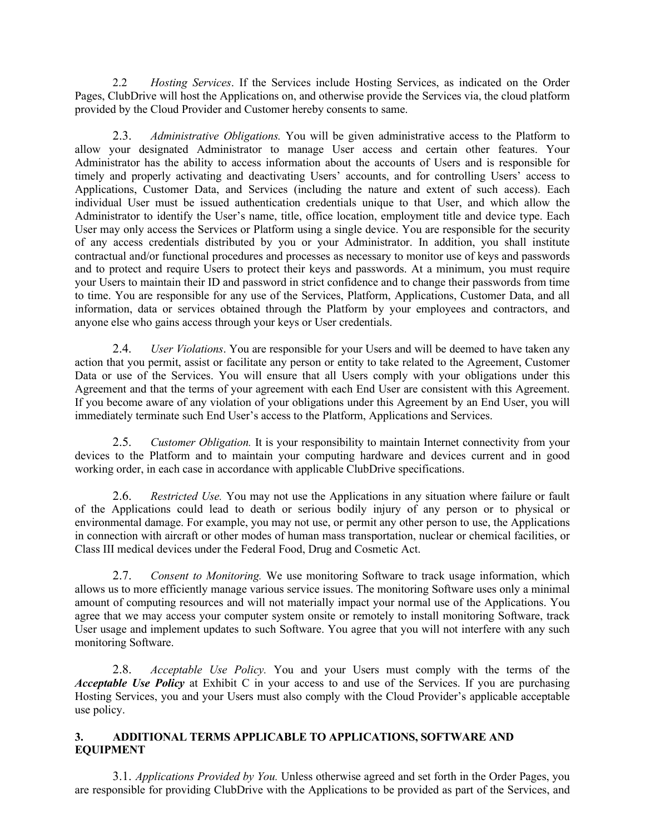2.2 *Hosting Services*. If the Services include Hosting Services, as indicated on the Order Pages, ClubDrive will host the Applications on, and otherwise provide the Services via, the cloud platform provided by the Cloud Provider and Customer hereby consents to same.

2.3. *Administrative Obligations.* You will be given administrative access to the Platform to allow your designated Administrator to manage User access and certain other features. Your Administrator has the ability to access information about the accounts of Users and is responsible for timely and properly activating and deactivating Users' accounts, and for controlling Users' access to Applications, Customer Data, and Services (including the nature and extent of such access). Each individual User must be issued authentication credentials unique to that User, and which allow the Administrator to identify the User's name, title, office location, employment title and device type. Each User may only access the Services or Platform using a single device. You are responsible for the security of any access credentials distributed by you or your Administrator. In addition, you shall institute contractual and/or functional procedures and processes as necessary to monitor use of keys and passwords and to protect and require Users to protect their keys and passwords. At a minimum, you must require your Users to maintain their ID and password in strict confidence and to change their passwords from time to time. You are responsible for any use of the Services, Platform, Applications, Customer Data, and all information, data or services obtained through the Platform by your employees and contractors, and anyone else who gains access through your keys or User credentials.

2.4. *User Violations*. You are responsible for your Users and will be deemed to have taken any action that you permit, assist or facilitate any person or entity to take related to the Agreement, Customer Data or use of the Services. You will ensure that all Users comply with your obligations under this Agreement and that the terms of your agreement with each End User are consistent with this Agreement. If you become aware of any violation of your obligations under this Agreement by an End User, you will immediately terminate such End User's access to the Platform, Applications and Services.

2.5. *Customer Obligation.* It is your responsibility to maintain Internet connectivity from your devices to the Platform and to maintain your computing hardware and devices current and in good working order, in each case in accordance with applicable ClubDrive specifications.

2.6. *Restricted Use.* You may not use the Applications in any situation where failure or fault of the Applications could lead to death or serious bodily injury of any person or to physical or environmental damage. For example, you may not use, or permit any other person to use, the Applications in connection with aircraft or other modes of human mass transportation, nuclear or chemical facilities, or Class III medical devices under the Federal Food, Drug and Cosmetic Act.

2.7. *Consent to Monitoring.* We use monitoring Software to track usage information, which allows us to more efficiently manage various service issues. The monitoring Software uses only a minimal amount of computing resources and will not materially impact your normal use of the Applications. You agree that we may access your computer system onsite or remotely to install monitoring Software, track User usage and implement updates to such Software. You agree that you will not interfere with any such monitoring Software.

2.8. *Acceptable Use Policy.* You and your Users must comply with the terms of the *Acceptable Use Policy* at Exhibit C in your access to and use of the Services. If you are purchasing Hosting Services, you and your Users must also comply with the Cloud Provider's applicable acceptable use policy.

# **3. ADDITIONAL TERMS APPLICABLE TO APPLICATIONS, SOFTWARE AND EQUIPMENT**

3.1. *Applications Provided by You.* Unless otherwise agreed and set forth in the Order Pages, you are responsible for providing ClubDrive with the Applications to be provided as part of the Services, and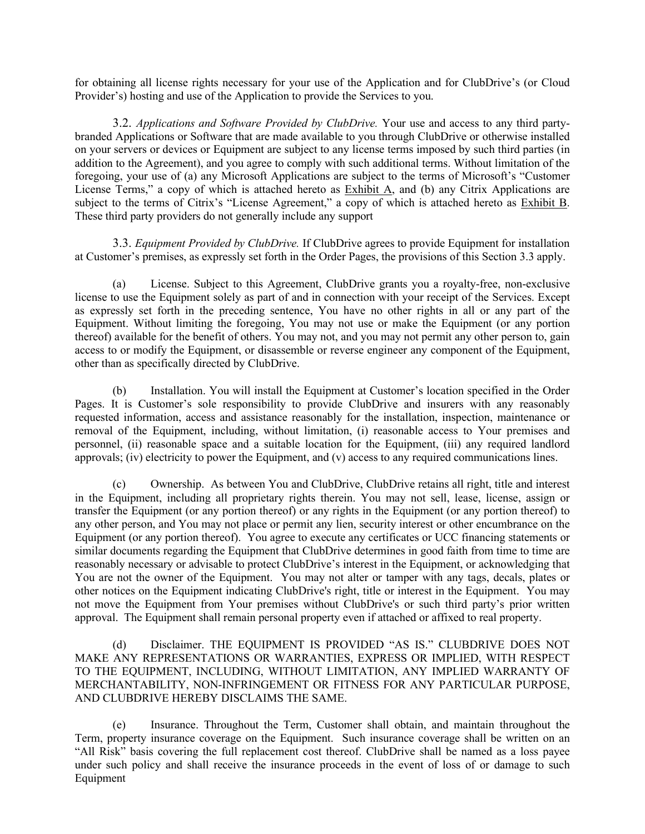for obtaining all license rights necessary for your use of the Application and for ClubDrive's (or Cloud Provider's) hosting and use of the Application to provide the Services to you.

3.2. *Applications and Software Provided by ClubDrive.* Your use and access to any third partybranded Applications or Software that are made available to you through ClubDrive or otherwise installed on your servers or devices or Equipment are subject to any license terms imposed by such third parties (in addition to the Agreement), and you agree to comply with such additional terms. Without limitation of the foregoing, your use of (a) any Microsoft Applications are subject to the terms of Microsoft's "Customer License Terms," a copy of which is attached hereto as Exhibit A, and (b) any Citrix Applications are subject to the terms of Citrix's "License Agreement," a copy of which is attached hereto as **Exhibit B**. These third party providers do not generally include any support

3.3. *Equipment Provided by ClubDrive.* If ClubDrive agrees to provide Equipment for installation at Customer's premises, as expressly set forth in the Order Pages, the provisions of this Section 3.3 apply.

(a) License. Subject to this Agreement, ClubDrive grants you a royalty-free, non-exclusive license to use the Equipment solely as part of and in connection with your receipt of the Services. Except as expressly set forth in the preceding sentence, You have no other rights in all or any part of the Equipment. Without limiting the foregoing, You may not use or make the Equipment (or any portion thereof) available for the benefit of others. You may not, and you may not permit any other person to, gain access to or modify the Equipment, or disassemble or reverse engineer any component of the Equipment, other than as specifically directed by ClubDrive.

(b) Installation. You will install the Equipment at Customer's location specified in the Order Pages. It is Customer's sole responsibility to provide ClubDrive and insurers with any reasonably requested information, access and assistance reasonably for the installation, inspection, maintenance or removal of the Equipment, including, without limitation, (i) reasonable access to Your premises and personnel, (ii) reasonable space and a suitable location for the Equipment, (iii) any required landlord approvals; (iv) electricity to power the Equipment, and (v) access to any required communications lines.

(c) Ownership. As between You and ClubDrive, ClubDrive retains all right, title and interest in the Equipment, including all proprietary rights therein. You may not sell, lease, license, assign or transfer the Equipment (or any portion thereof) or any rights in the Equipment (or any portion thereof) to any other person, and You may not place or permit any lien, security interest or other encumbrance on the Equipment (or any portion thereof). You agree to execute any certificates or UCC financing statements or similar documents regarding the Equipment that ClubDrive determines in good faith from time to time are reasonably necessary or advisable to protect ClubDrive's interest in the Equipment, or acknowledging that You are not the owner of the Equipment. You may not alter or tamper with any tags, decals, plates or other notices on the Equipment indicating ClubDrive's right, title or interest in the Equipment. You may not move the Equipment from Your premises without ClubDrive's or such third party's prior written approval. The Equipment shall remain personal property even if attached or affixed to real property.

(d) Disclaimer. THE EQUIPMENT IS PROVIDED "AS IS." CLUBDRIVE DOES NOT MAKE ANY REPRESENTATIONS OR WARRANTIES, EXPRESS OR IMPLIED, WITH RESPECT TO THE EQUIPMENT, INCLUDING, WITHOUT LIMITATION, ANY IMPLIED WARRANTY OF MERCHANTABILITY, NON-INFRINGEMENT OR FITNESS FOR ANY PARTICULAR PURPOSE, AND CLUBDRIVE HEREBY DISCLAIMS THE SAME.

(e) Insurance. Throughout the Term, Customer shall obtain, and maintain throughout the Term, property insurance coverage on the Equipment. Such insurance coverage shall be written on an "All Risk" basis covering the full replacement cost thereof. ClubDrive shall be named as a loss payee under such policy and shall receive the insurance proceeds in the event of loss of or damage to such Equipment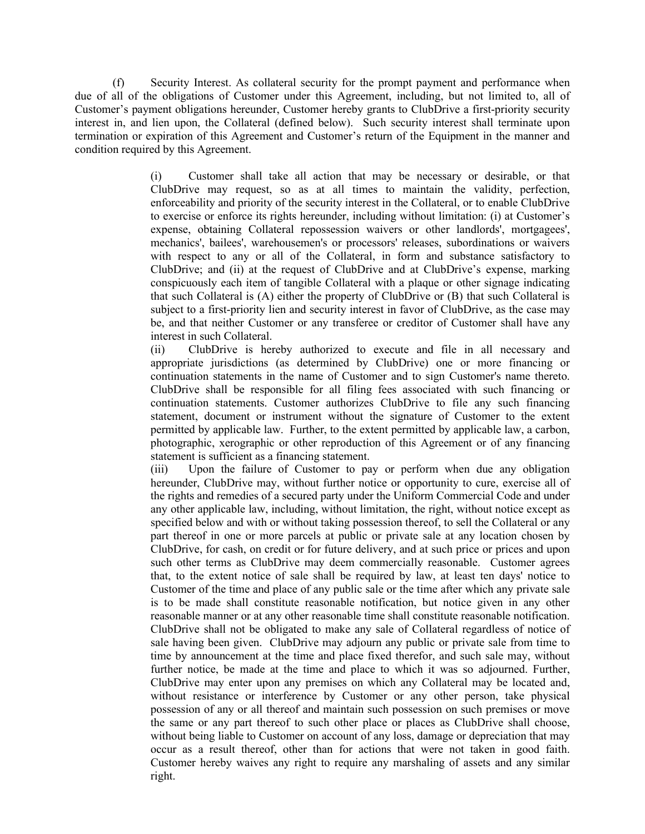(f) Security Interest. As collateral security for the prompt payment and performance when due of all of the obligations of Customer under this Agreement, including, but not limited to, all of Customer's payment obligations hereunder, Customer hereby grants to ClubDrive a first-priority security interest in, and lien upon, the Collateral (defined below). Such security interest shall terminate upon termination or expiration of this Agreement and Customer's return of the Equipment in the manner and condition required by this Agreement.

> (i) Customer shall take all action that may be necessary or desirable, or that ClubDrive may request, so as at all times to maintain the validity, perfection, enforceability and priority of the security interest in the Collateral, or to enable ClubDrive to exercise or enforce its rights hereunder, including without limitation: (i) at Customer's expense, obtaining Collateral repossession waivers or other landlords', mortgagees', mechanics', bailees', warehousemen's or processors' releases, subordinations or waivers with respect to any or all of the Collateral, in form and substance satisfactory to ClubDrive; and (ii) at the request of ClubDrive and at ClubDrive's expense, marking conspicuously each item of tangible Collateral with a plaque or other signage indicating that such Collateral is (A) either the property of ClubDrive or (B) that such Collateral is subject to a first-priority lien and security interest in favor of ClubDrive, as the case may be, and that neither Customer or any transferee or creditor of Customer shall have any interest in such Collateral.

> (ii) ClubDrive is hereby authorized to execute and file in all necessary and appropriate jurisdictions (as determined by ClubDrive) one or more financing or continuation statements in the name of Customer and to sign Customer's name thereto. ClubDrive shall be responsible for all filing fees associated with such financing or continuation statements. Customer authorizes ClubDrive to file any such financing statement, document or instrument without the signature of Customer to the extent permitted by applicable law. Further, to the extent permitted by applicable law, a carbon, photographic, xerographic or other reproduction of this Agreement or of any financing statement is sufficient as a financing statement.

> (iii) Upon the failure of Customer to pay or perform when due any obligation hereunder, ClubDrive may, without further notice or opportunity to cure, exercise all of the rights and remedies of a secured party under the Uniform Commercial Code and under any other applicable law, including, without limitation, the right, without notice except as specified below and with or without taking possession thereof, to sell the Collateral or any part thereof in one or more parcels at public or private sale at any location chosen by ClubDrive, for cash, on credit or for future delivery, and at such price or prices and upon such other terms as ClubDrive may deem commercially reasonable. Customer agrees that, to the extent notice of sale shall be required by law, at least ten days' notice to Customer of the time and place of any public sale or the time after which any private sale is to be made shall constitute reasonable notification, but notice given in any other reasonable manner or at any other reasonable time shall constitute reasonable notification. ClubDrive shall not be obligated to make any sale of Collateral regardless of notice of sale having been given. ClubDrive may adjourn any public or private sale from time to time by announcement at the time and place fixed therefor, and such sale may, without further notice, be made at the time and place to which it was so adjourned. Further, ClubDrive may enter upon any premises on which any Collateral may be located and, without resistance or interference by Customer or any other person, take physical possession of any or all thereof and maintain such possession on such premises or move the same or any part thereof to such other place or places as ClubDrive shall choose, without being liable to Customer on account of any loss, damage or depreciation that may occur as a result thereof, other than for actions that were not taken in good faith. Customer hereby waives any right to require any marshaling of assets and any similar right.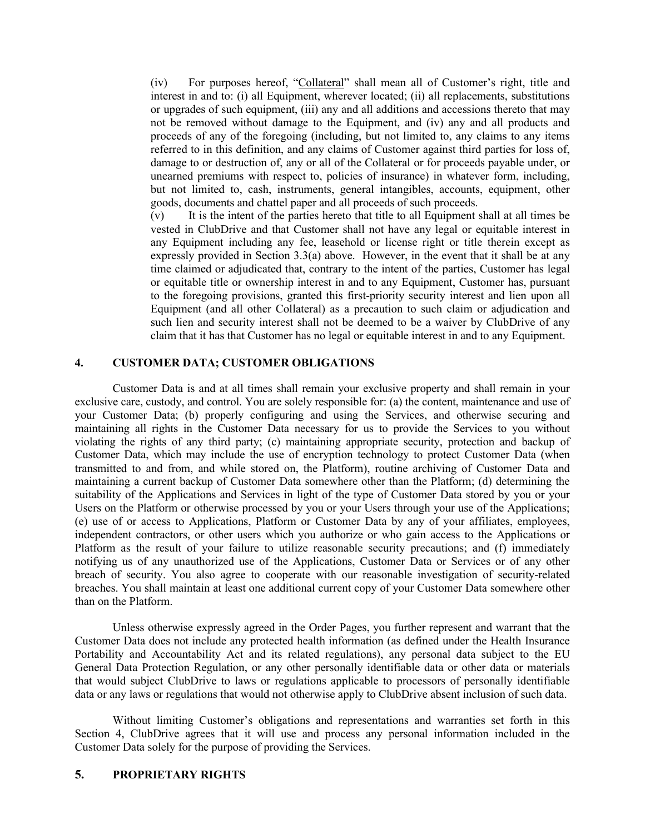(iv) For purposes hereof, "Collateral" shall mean all of Customer's right, title and interest in and to: (i) all Equipment, wherever located; (ii) all replacements, substitutions or upgrades of such equipment, (iii) any and all additions and accessions thereto that may not be removed without damage to the Equipment, and (iv) any and all products and proceeds of any of the foregoing (including, but not limited to, any claims to any items referred to in this definition, and any claims of Customer against third parties for loss of, damage to or destruction of, any or all of the Collateral or for proceeds payable under, or unearned premiums with respect to, policies of insurance) in whatever form, including, but not limited to, cash, instruments, general intangibles, accounts, equipment, other goods, documents and chattel paper and all proceeds of such proceeds.

(v) It is the intent of the parties hereto that title to all Equipment shall at all times be vested in ClubDrive and that Customer shall not have any legal or equitable interest in any Equipment including any fee, leasehold or license right or title therein except as expressly provided in Section 3.3(a) above. However, in the event that it shall be at any time claimed or adjudicated that, contrary to the intent of the parties, Customer has legal or equitable title or ownership interest in and to any Equipment, Customer has, pursuant to the foregoing provisions, granted this first-priority security interest and lien upon all Equipment (and all other Collateral) as a precaution to such claim or adjudication and such lien and security interest shall not be deemed to be a waiver by ClubDrive of any claim that it has that Customer has no legal or equitable interest in and to any Equipment.

# **4. CUSTOMER DATA; CUSTOMER OBLIGATIONS**

Customer Data is and at all times shall remain your exclusive property and shall remain in your exclusive care, custody, and control. You are solely responsible for: (a) the content, maintenance and use of your Customer Data; (b) properly configuring and using the Services, and otherwise securing and maintaining all rights in the Customer Data necessary for us to provide the Services to you without violating the rights of any third party; (c) maintaining appropriate security, protection and backup of Customer Data, which may include the use of encryption technology to protect Customer Data (when transmitted to and from, and while stored on, the Platform), routine archiving of Customer Data and maintaining a current backup of Customer Data somewhere other than the Platform; (d) determining the suitability of the Applications and Services in light of the type of Customer Data stored by you or your Users on the Platform or otherwise processed by you or your Users through your use of the Applications; (e) use of or access to Applications, Platform or Customer Data by any of your affiliates, employees, independent contractors, or other users which you authorize or who gain access to the Applications or Platform as the result of your failure to utilize reasonable security precautions; and (f) immediately notifying us of any unauthorized use of the Applications, Customer Data or Services or of any other breach of security. You also agree to cooperate with our reasonable investigation of security-related breaches. You shall maintain at least one additional current copy of your Customer Data somewhere other than on the Platform.

Unless otherwise expressly agreed in the Order Pages, you further represent and warrant that the Customer Data does not include any protected health information (as defined under the Health Insurance Portability and Accountability Act and its related regulations), any personal data subject to the EU General Data Protection Regulation, or any other personally identifiable data or other data or materials that would subject ClubDrive to laws or regulations applicable to processors of personally identifiable data or any laws or regulations that would not otherwise apply to ClubDrive absent inclusion of such data.

Without limiting Customer's obligations and representations and warranties set forth in this Section 4, ClubDrive agrees that it will use and process any personal information included in the Customer Data solely for the purpose of providing the Services.

# **5. PROPRIETARY RIGHTS**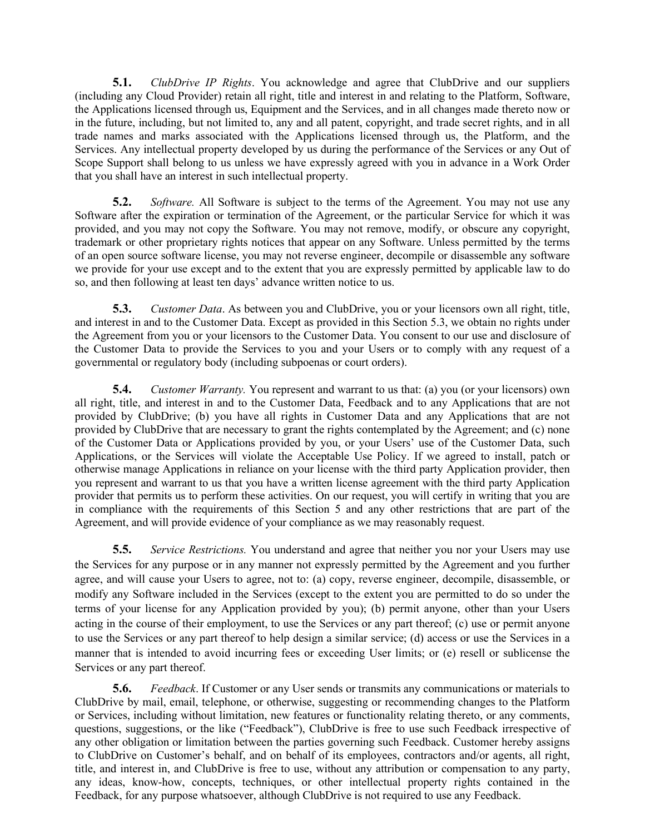**5.1.** *ClubDrive IP Rights*. You acknowledge and agree that ClubDrive and our suppliers (including any Cloud Provider) retain all right, title and interest in and relating to the Platform, Software, the Applications licensed through us, Equipment and the Services, and in all changes made thereto now or in the future, including, but not limited to, any and all patent, copyright, and trade secret rights, and in all trade names and marks associated with the Applications licensed through us, the Platform, and the Services. Any intellectual property developed by us during the performance of the Services or any Out of Scope Support shall belong to us unless we have expressly agreed with you in advance in a Work Order that you shall have an interest in such intellectual property.

**5.2.** *Software.* All Software is subject to the terms of the Agreement. You may not use any Software after the expiration or termination of the Agreement, or the particular Service for which it was provided, and you may not copy the Software. You may not remove, modify, or obscure any copyright, trademark or other proprietary rights notices that appear on any Software. Unless permitted by the terms of an open source software license, you may not reverse engineer, decompile or disassemble any software we provide for your use except and to the extent that you are expressly permitted by applicable law to do so, and then following at least ten days' advance written notice to us.

**5.3.** *Customer Data*. As between you and ClubDrive, you or your licensors own all right, title, and interest in and to the Customer Data. Except as provided in this Section 5.3, we obtain no rights under the Agreement from you or your licensors to the Customer Data. You consent to our use and disclosure of the Customer Data to provide the Services to you and your Users or to comply with any request of a governmental or regulatory body (including subpoenas or court orders).

**5.4.** *Customer Warranty.* You represent and warrant to us that: (a) you (or your licensors) own all right, title, and interest in and to the Customer Data, Feedback and to any Applications that are not provided by ClubDrive; (b) you have all rights in Customer Data and any Applications that are not provided by ClubDrive that are necessary to grant the rights contemplated by the Agreement; and (c) none of the Customer Data or Applications provided by you, or your Users' use of the Customer Data, such Applications, or the Services will violate the Acceptable Use Policy. If we agreed to install, patch or otherwise manage Applications in reliance on your license with the third party Application provider, then you represent and warrant to us that you have a written license agreement with the third party Application provider that permits us to perform these activities. On our request, you will certify in writing that you are in compliance with the requirements of this Section 5 and any other restrictions that are part of the Agreement, and will provide evidence of your compliance as we may reasonably request.

**5.5.** *Service Restrictions.* You understand and agree that neither you nor your Users may use the Services for any purpose or in any manner not expressly permitted by the Agreement and you further agree, and will cause your Users to agree, not to: (a) copy, reverse engineer, decompile, disassemble, or modify any Software included in the Services (except to the extent you are permitted to do so under the terms of your license for any Application provided by you); (b) permit anyone, other than your Users acting in the course of their employment, to use the Services or any part thereof; (c) use or permit anyone to use the Services or any part thereof to help design a similar service; (d) access or use the Services in a manner that is intended to avoid incurring fees or exceeding User limits; or (e) resell or sublicense the Services or any part thereof.

**5.6.** *Feedback*. If Customer or any User sends or transmits any communications or materials to ClubDrive by mail, email, telephone, or otherwise, suggesting or recommending changes to the Platform or Services, including without limitation, new features or functionality relating thereto, or any comments, questions, suggestions, or the like ("Feedback"), ClubDrive is free to use such Feedback irrespective of any other obligation or limitation between the parties governing such Feedback. Customer hereby assigns to ClubDrive on Customer's behalf, and on behalf of its employees, contractors and/or agents, all right, title, and interest in, and ClubDrive is free to use, without any attribution or compensation to any party, any ideas, know-how, concepts, techniques, or other intellectual property rights contained in the Feedback, for any purpose whatsoever, although ClubDrive is not required to use any Feedback.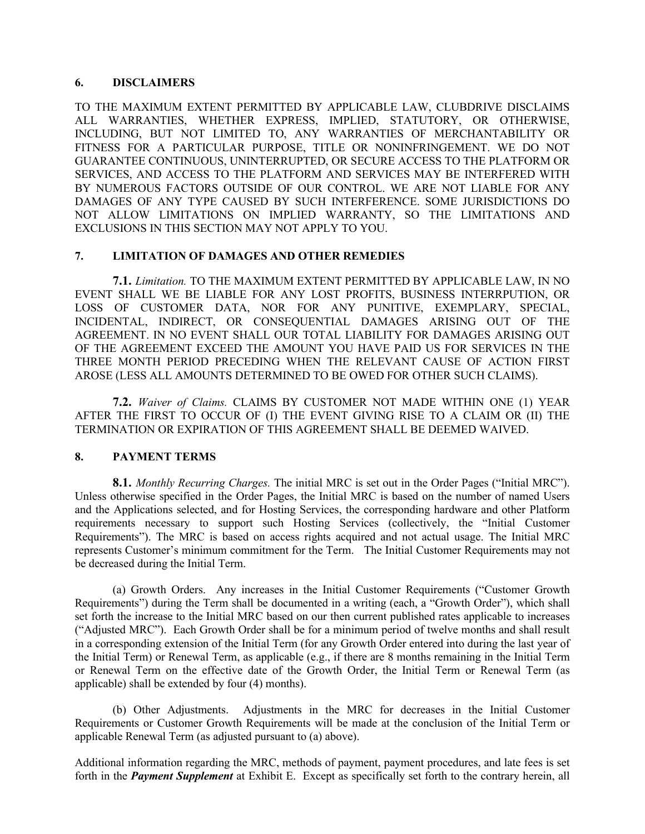# **6. DISCLAIMERS**

TO THE MAXIMUM EXTENT PERMITTED BY APPLICABLE LAW, CLUBDRIVE DISCLAIMS ALL WARRANTIES, WHETHER EXPRESS, IMPLIED, STATUTORY, OR OTHERWISE, INCLUDING, BUT NOT LIMITED TO, ANY WARRANTIES OF MERCHANTABILITY OR FITNESS FOR A PARTICULAR PURPOSE, TITLE OR NONINFRINGEMENT. WE DO NOT GUARANTEE CONTINUOUS, UNINTERRUPTED, OR SECURE ACCESS TO THE PLATFORM OR SERVICES, AND ACCESS TO THE PLATFORM AND SERVICES MAY BE INTERFERED WITH BY NUMEROUS FACTORS OUTSIDE OF OUR CONTROL. WE ARE NOT LIABLE FOR ANY DAMAGES OF ANY TYPE CAUSED BY SUCH INTERFERENCE. SOME JURISDICTIONS DO NOT ALLOW LIMITATIONS ON IMPLIED WARRANTY, SO THE LIMITATIONS AND EXCLUSIONS IN THIS SECTION MAY NOT APPLY TO YOU.

# **7. LIMITATION OF DAMAGES AND OTHER REMEDIES**

**7.1.** *Limitation.* TO THE MAXIMUM EXTENT PERMITTED BY APPLICABLE LAW, IN NO EVENT SHALL WE BE LIABLE FOR ANY LOST PROFITS, BUSINESS INTERRPUTION, OR LOSS OF CUSTOMER DATA, NOR FOR ANY PUNITIVE, EXEMPLARY, SPECIAL, INCIDENTAL, INDIRECT, OR CONSEQUENTIAL DAMAGES ARISING OUT OF THE AGREEMENT. IN NO EVENT SHALL OUR TOTAL LIABILITY FOR DAMAGES ARISING OUT OF THE AGREEMENT EXCEED THE AMOUNT YOU HAVE PAID US FOR SERVICES IN THE THREE MONTH PERIOD PRECEDING WHEN THE RELEVANT CAUSE OF ACTION FIRST AROSE (LESS ALL AMOUNTS DETERMINED TO BE OWED FOR OTHER SUCH CLAIMS).

**7.2.** *Waiver of Claims.* CLAIMS BY CUSTOMER NOT MADE WITHIN ONE (1) YEAR AFTER THE FIRST TO OCCUR OF (I) THE EVENT GIVING RISE TO A CLAIM OR (II) THE TERMINATION OR EXPIRATION OF THIS AGREEMENT SHALL BE DEEMED WAIVED.

# **8. PAYMENT TERMS**

**8.1.** *Monthly Recurring Charges.* The initial MRC is set out in the Order Pages ("Initial MRC"). Unless otherwise specified in the Order Pages, the Initial MRC is based on the number of named Users and the Applications selected, and for Hosting Services, the corresponding hardware and other Platform requirements necessary to support such Hosting Services (collectively, the "Initial Customer Requirements"). The MRC is based on access rights acquired and not actual usage. The Initial MRC represents Customer's minimum commitment for the Term. The Initial Customer Requirements may not be decreased during the Initial Term.

(a) Growth Orders. Any increases in the Initial Customer Requirements ("Customer Growth Requirements") during the Term shall be documented in a writing (each, a "Growth Order"), which shall set forth the increase to the Initial MRC based on our then current published rates applicable to increases ("Adjusted MRC"). Each Growth Order shall be for a minimum period of twelve months and shall result in a corresponding extension of the Initial Term (for any Growth Order entered into during the last year of the Initial Term) or Renewal Term, as applicable (e.g., if there are 8 months remaining in the Initial Term or Renewal Term on the effective date of the Growth Order, the Initial Term or Renewal Term (as applicable) shall be extended by four (4) months).

(b) Other Adjustments. Adjustments in the MRC for decreases in the Initial Customer Requirements or Customer Growth Requirements will be made at the conclusion of the Initial Term or applicable Renewal Term (as adjusted pursuant to (a) above).

Additional information regarding the MRC, methods of payment, payment procedures, and late fees is set forth in the *Payment Supplement* at Exhibit E. Except as specifically set forth to the contrary herein, all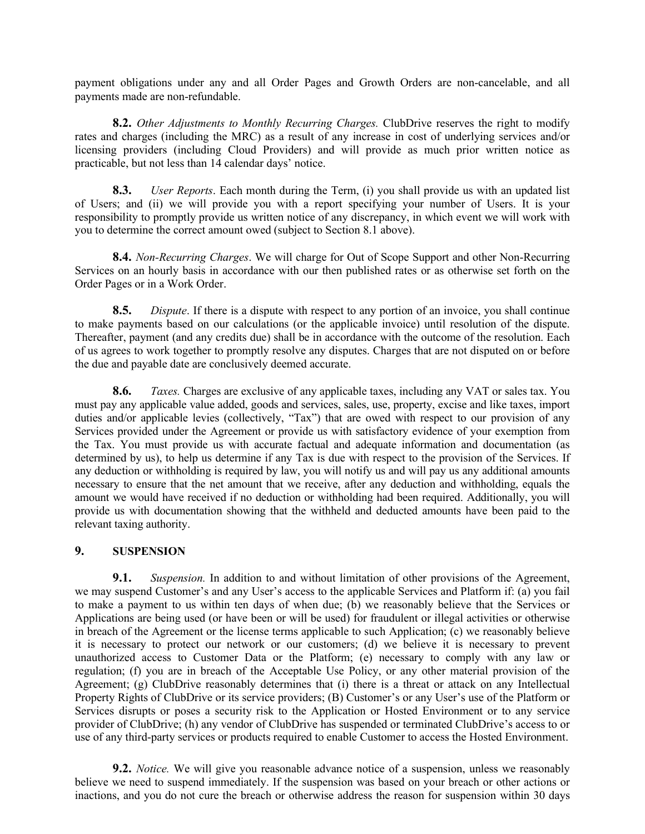payment obligations under any and all Order Pages and Growth Orders are non-cancelable, and all payments made are non-refundable.

**8.2.** *Other Adjustments to Monthly Recurring Charges.* ClubDrive reserves the right to modify rates and charges (including the MRC) as a result of any increase in cost of underlying services and/or licensing providers (including Cloud Providers) and will provide as much prior written notice as practicable, but not less than 14 calendar days' notice.

**8.3.** *User Reports*. Each month during the Term, (i) you shall provide us with an updated list of Users; and (ii) we will provide you with a report specifying your number of Users. It is your responsibility to promptly provide us written notice of any discrepancy, in which event we will work with you to determine the correct amount owed (subject to Section 8.1 above).

**8.4.** *Non-Recurring Charges*. We will charge for Out of Scope Support and other Non-Recurring Services on an hourly basis in accordance with our then published rates or as otherwise set forth on the Order Pages or in a Work Order.

**8.5.** *Dispute*. If there is a dispute with respect to any portion of an invoice, you shall continue to make payments based on our calculations (or the applicable invoice) until resolution of the dispute. Thereafter, payment (and any credits due) shall be in accordance with the outcome of the resolution. Each of us agrees to work together to promptly resolve any disputes. Charges that are not disputed on or before the due and payable date are conclusively deemed accurate.

**8.6.** *Taxes.* Charges are exclusive of any applicable taxes, including any VAT or sales tax. You must pay any applicable value added, goods and services, sales, use, property, excise and like taxes, import duties and/or applicable levies (collectively, "Tax") that are owed with respect to our provision of any Services provided under the Agreement or provide us with satisfactory evidence of your exemption from the Tax. You must provide us with accurate factual and adequate information and documentation (as determined by us), to help us determine if any Tax is due with respect to the provision of the Services. If any deduction or withholding is required by law, you will notify us and will pay us any additional amounts necessary to ensure that the net amount that we receive, after any deduction and withholding, equals the amount we would have received if no deduction or withholding had been required. Additionally, you will provide us with documentation showing that the withheld and deducted amounts have been paid to the relevant taxing authority.

# **9. SUSPENSION**

**9.1.** *Suspension.* In addition to and without limitation of other provisions of the Agreement, we may suspend Customer's and any User's access to the applicable Services and Platform if: (a) you fail to make a payment to us within ten days of when due; (b) we reasonably believe that the Services or Applications are being used (or have been or will be used) for fraudulent or illegal activities or otherwise in breach of the Agreement or the license terms applicable to such Application; (c) we reasonably believe it is necessary to protect our network or our customers; (d) we believe it is necessary to prevent unauthorized access to Customer Data or the Platform; (e) necessary to comply with any law or regulation; (f) you are in breach of the Acceptable Use Policy, or any other material provision of the Agreement; (g) ClubDrive reasonably determines that (i) there is a threat or attack on any Intellectual Property Rights of ClubDrive or its service providers; (B) Customer's or any User's use of the Platform or Services disrupts or poses a security risk to the Application or Hosted Environment or to any service provider of ClubDrive; (h) any vendor of ClubDrive has suspended or terminated ClubDrive's access to or use of any third-party services or products required to enable Customer to access the Hosted Environment.

**9.2.** *Notice.* We will give you reasonable advance notice of a suspension, unless we reasonably believe we need to suspend immediately. If the suspension was based on your breach or other actions or inactions, and you do not cure the breach or otherwise address the reason for suspension within 30 days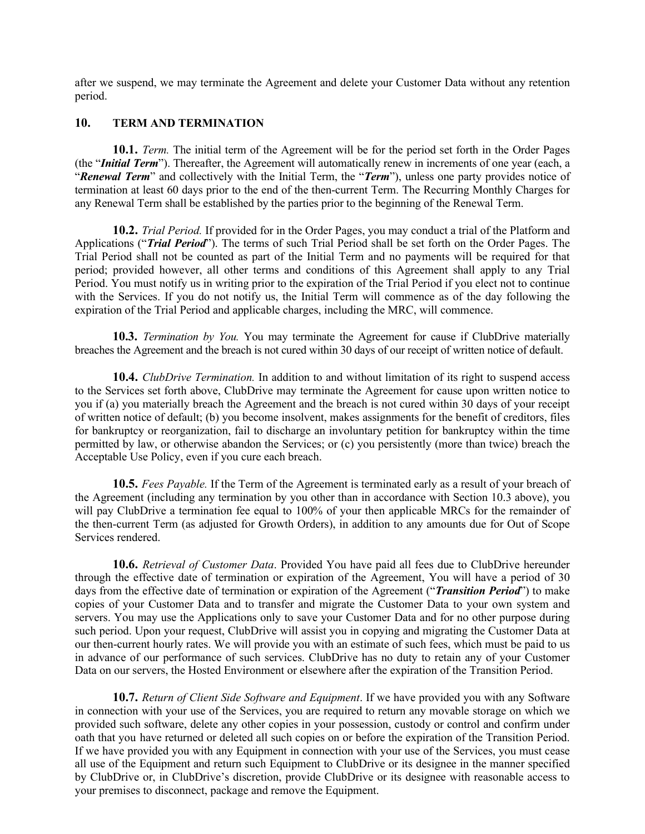after we suspend, we may terminate the Agreement and delete your Customer Data without any retention period.

### **10. TERM AND TERMINATION**

**10.1.** *Term.* The initial term of the Agreement will be for the period set forth in the Order Pages (the "*Initial Term*"). Thereafter, the Agreement will automatically renew in increments of one year (each, a "*Renewal Term*" and collectively with the Initial Term, the "*Term*"), unless one party provides notice of termination at least 60 days prior to the end of the then-current Term. The Recurring Monthly Charges for any Renewal Term shall be established by the parties prior to the beginning of the Renewal Term.

**10.2.** *Trial Period.* If provided for in the Order Pages, you may conduct a trial of the Platform and Applications ("*Trial Period*"). The terms of such Trial Period shall be set forth on the Order Pages. The Trial Period shall not be counted as part of the Initial Term and no payments will be required for that period; provided however, all other terms and conditions of this Agreement shall apply to any Trial Period. You must notify us in writing prior to the expiration of the Trial Period if you elect not to continue with the Services. If you do not notify us, the Initial Term will commence as of the day following the expiration of the Trial Period and applicable charges, including the MRC, will commence.

**10.3.** *Termination by You.* You may terminate the Agreement for cause if ClubDrive materially breaches the Agreement and the breach is not cured within 30 days of our receipt of written notice of default.

**10.4.** *ClubDrive Termination.* In addition to and without limitation of its right to suspend access to the Services set forth above, ClubDrive may terminate the Agreement for cause upon written notice to you if (a) you materially breach the Agreement and the breach is not cured within 30 days of your receipt of written notice of default; (b) you become insolvent, makes assignments for the benefit of creditors, files for bankruptcy or reorganization, fail to discharge an involuntary petition for bankruptcy within the time permitted by law, or otherwise abandon the Services; or (c) you persistently (more than twice) breach the Acceptable Use Policy, even if you cure each breach.

**10.5.** *Fees Payable.* If the Term of the Agreement is terminated early as a result of your breach of the Agreement (including any termination by you other than in accordance with Section 10.3 above), you will pay ClubDrive a termination fee equal to 100% of your then applicable MRCs for the remainder of the then-current Term (as adjusted for Growth Orders), in addition to any amounts due for Out of Scope Services rendered.

**10.6.** *Retrieval of Customer Data*. Provided You have paid all fees due to ClubDrive hereunder through the effective date of termination or expiration of the Agreement, You will have a period of 30 days from the effective date of termination or expiration of the Agreement ("*Transition Period*") to make copies of your Customer Data and to transfer and migrate the Customer Data to your own system and servers. You may use the Applications only to save your Customer Data and for no other purpose during such period. Upon your request, ClubDrive will assist you in copying and migrating the Customer Data at our then-current hourly rates. We will provide you with an estimate of such fees, which must be paid to us in advance of our performance of such services. ClubDrive has no duty to retain any of your Customer Data on our servers, the Hosted Environment or elsewhere after the expiration of the Transition Period.

**10.7.** *Return of Client Side Software and Equipment*. If we have provided you with any Software in connection with your use of the Services, you are required to return any movable storage on which we provided such software, delete any other copies in your possession, custody or control and confirm under oath that you have returned or deleted all such copies on or before the expiration of the Transition Period. If we have provided you with any Equipment in connection with your use of the Services, you must cease all use of the Equipment and return such Equipment to ClubDrive or its designee in the manner specified by ClubDrive or, in ClubDrive's discretion, provide ClubDrive or its designee with reasonable access to your premises to disconnect, package and remove the Equipment.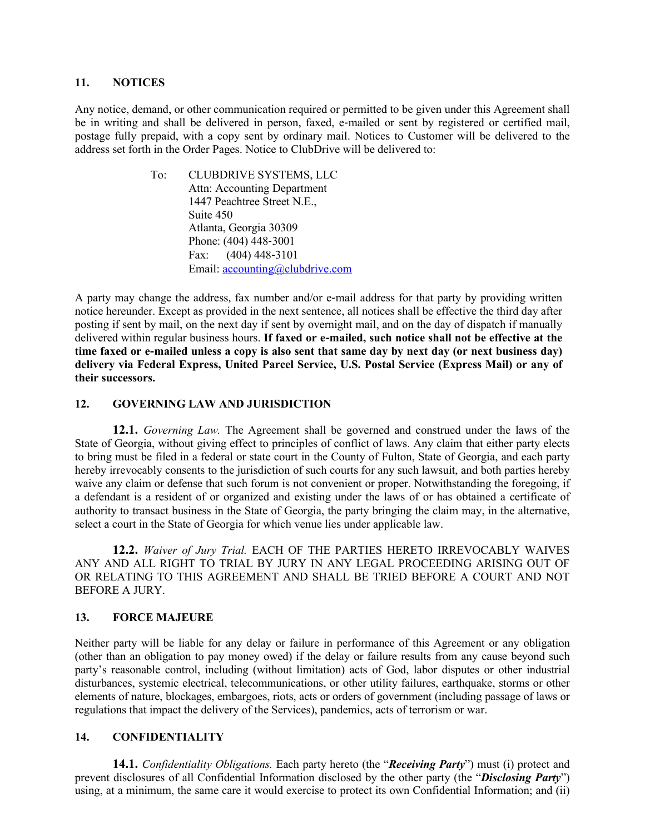#### **11. NOTICES**

Any notice, demand, or other communication required or permitted to be given under this Agreement shall be in writing and shall be delivered in person, faxed, e-mailed or sent by registered or certified mail, postage fully prepaid, with a copy sent by ordinary mail. Notices to Customer will be delivered to the address set forth in the Order Pages. Notice to ClubDrive will be delivered to:

> To: CLUBDRIVE SYSTEMS, LLC Attn: Accounting Department 1447 Peachtree Street N.E., Suite 450 Atlanta, Georgia 30309 Phone: (404) 448-3001 Fax: (404) 448-3101 Email: accounting@clubdrive.com

A party may change the address, fax number and/or e-mail address for that party by providing written notice hereunder. Except as provided in the next sentence, all notices shall be effective the third day after posting if sent by mail, on the next day if sent by overnight mail, and on the day of dispatch if manually delivered within regular business hours. **If faxed or e**-**mailed, such notice shall not be effective at the time faxed or e**-**mailed unless a copy is also sent that same day by next day (or next business day) delivery via Federal Express, United Parcel Service, U.S. Postal Service (Express Mail) or any of their successors.**

# **12. GOVERNING LAW AND JURISDICTION**

**12.1.** *Governing Law.* The Agreement shall be governed and construed under the laws of the State of Georgia, without giving effect to principles of conflict of laws. Any claim that either party elects to bring must be filed in a federal or state court in the County of Fulton, State of Georgia, and each party hereby irrevocably consents to the jurisdiction of such courts for any such lawsuit, and both parties hereby waive any claim or defense that such forum is not convenient or proper. Notwithstanding the foregoing, if a defendant is a resident of or organized and existing under the laws of or has obtained a certificate of authority to transact business in the State of Georgia, the party bringing the claim may, in the alternative, select a court in the State of Georgia for which venue lies under applicable law.

**12.2.** *Waiver of Jury Trial.* EACH OF THE PARTIES HERETO IRREVOCABLY WAIVES ANY AND ALL RIGHT TO TRIAL BY JURY IN ANY LEGAL PROCEEDING ARISING OUT OF OR RELATING TO THIS AGREEMENT AND SHALL BE TRIED BEFORE A COURT AND NOT BEFORE A JURY.

# **13. FORCE MAJEURE**

Neither party will be liable for any delay or failure in performance of this Agreement or any obligation (other than an obligation to pay money owed) if the delay or failure results from any cause beyond such party's reasonable control, including (without limitation) acts of God, labor disputes or other industrial disturbances, systemic electrical, telecommunications, or other utility failures, earthquake, storms or other elements of nature, blockages, embargoes, riots, acts or orders of government (including passage of laws or regulations that impact the delivery of the Services), pandemics, acts of terrorism or war.

# **14. CONFIDENTIALITY**

**14.1.** *Confidentiality Obligations.* Each party hereto (the "*Receiving Party*") must (i) protect and prevent disclosures of all Confidential Information disclosed by the other party (the "*Disclosing Party*") using, at a minimum, the same care it would exercise to protect its own Confidential Information; and (ii)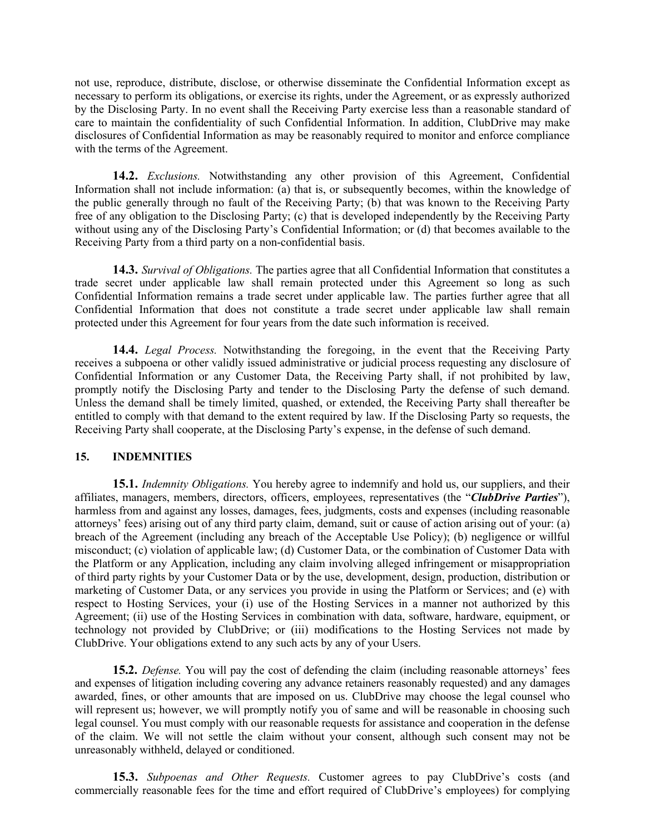not use, reproduce, distribute, disclose, or otherwise disseminate the Confidential Information except as necessary to perform its obligations, or exercise its rights, under the Agreement, or as expressly authorized by the Disclosing Party. In no event shall the Receiving Party exercise less than a reasonable standard of care to maintain the confidentiality of such Confidential Information. In addition, ClubDrive may make disclosures of Confidential Information as may be reasonably required to monitor and enforce compliance with the terms of the Agreement.

**14.2.** *Exclusions.* Notwithstanding any other provision of this Agreement, Confidential Information shall not include information: (a) that is, or subsequently becomes, within the knowledge of the public generally through no fault of the Receiving Party; (b) that was known to the Receiving Party free of any obligation to the Disclosing Party; (c) that is developed independently by the Receiving Party without using any of the Disclosing Party's Confidential Information; or (d) that becomes available to the Receiving Party from a third party on a non-confidential basis.

**14.3.** *Survival of Obligations.* The parties agree that all Confidential Information that constitutes a trade secret under applicable law shall remain protected under this Agreement so long as such Confidential Information remains a trade secret under applicable law. The parties further agree that all Confidential Information that does not constitute a trade secret under applicable law shall remain protected under this Agreement for four years from the date such information is received.

**14.4.** *Legal Process.* Notwithstanding the foregoing, in the event that the Receiving Party receives a subpoena or other validly issued administrative or judicial process requesting any disclosure of Confidential Information or any Customer Data, the Receiving Party shall, if not prohibited by law, promptly notify the Disclosing Party and tender to the Disclosing Party the defense of such demand. Unless the demand shall be timely limited, quashed, or extended, the Receiving Party shall thereafter be entitled to comply with that demand to the extent required by law. If the Disclosing Party so requests, the Receiving Party shall cooperate, at the Disclosing Party's expense, in the defense of such demand.

# **15. INDEMNITIES**

**15.1.** *Indemnity Obligations.* You hereby agree to indemnify and hold us, our suppliers, and their affiliates, managers, members, directors, officers, employees, representatives (the "*ClubDrive Parties*"), harmless from and against any losses, damages, fees, judgments, costs and expenses (including reasonable attorneys' fees) arising out of any third party claim, demand, suit or cause of action arising out of your: (a) breach of the Agreement (including any breach of the Acceptable Use Policy); (b) negligence or willful misconduct; (c) violation of applicable law; (d) Customer Data, or the combination of Customer Data with the Platform or any Application, including any claim involving alleged infringement or misappropriation of third party rights by your Customer Data or by the use, development, design, production, distribution or marketing of Customer Data, or any services you provide in using the Platform or Services; and (e) with respect to Hosting Services, your (i) use of the Hosting Services in a manner not authorized by this Agreement; (ii) use of the Hosting Services in combination with data, software, hardware, equipment, or technology not provided by ClubDrive; or (iii) modifications to the Hosting Services not made by ClubDrive. Your obligations extend to any such acts by any of your Users.

**15.2.** *Defense.* You will pay the cost of defending the claim (including reasonable attorneys' fees and expenses of litigation including covering any advance retainers reasonably requested) and any damages awarded, fines, or other amounts that are imposed on us. ClubDrive may choose the legal counsel who will represent us; however, we will promptly notify you of same and will be reasonable in choosing such legal counsel. You must comply with our reasonable requests for assistance and cooperation in the defense of the claim. We will not settle the claim without your consent, although such consent may not be unreasonably withheld, delayed or conditioned.

**15.3.** *Subpoenas and Other Requests.* Customer agrees to pay ClubDrive's costs (and commercially reasonable fees for the time and effort required of ClubDrive's employees) for complying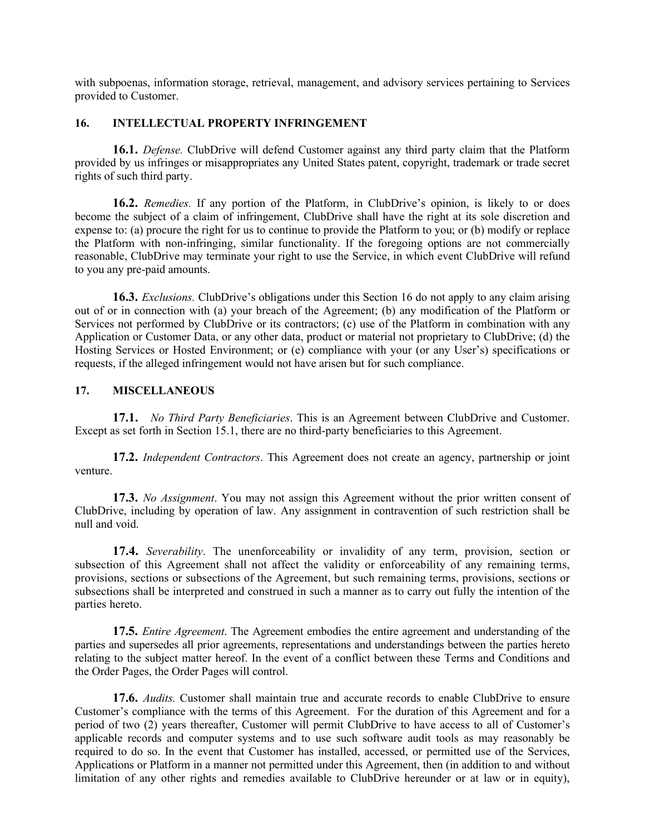with subpoenas, information storage, retrieval, management, and advisory services pertaining to Services provided to Customer.

#### **16. INTELLECTUAL PROPERTY INFRINGEMENT**

**16.1.** *Defense.* ClubDrive will defend Customer against any third party claim that the Platform provided by us infringes or misappropriates any United States patent, copyright, trademark or trade secret rights of such third party.

**16.2.** *Remedies.* If any portion of the Platform, in ClubDrive's opinion, is likely to or does become the subject of a claim of infringement, ClubDrive shall have the right at its sole discretion and expense to: (a) procure the right for us to continue to provide the Platform to you; or (b) modify or replace the Platform with non-infringing, similar functionality. If the foregoing options are not commercially reasonable, ClubDrive may terminate your right to use the Service, in which event ClubDrive will refund to you any pre-paid amounts.

**16.3.** *Exclusions.* ClubDrive's obligations under this Section 16 do not apply to any claim arising out of or in connection with (a) your breach of the Agreement; (b) any modification of the Platform or Services not performed by ClubDrive or its contractors; (c) use of the Platform in combination with any Application or Customer Data, or any other data, product or material not proprietary to ClubDrive; (d) the Hosting Services or Hosted Environment; or (e) compliance with your (or any User's) specifications or requests, if the alleged infringement would not have arisen but for such compliance.

# **17. MISCELLANEOUS**

**17.1.** *No Third Party Beneficiaries*. This is an Agreement between ClubDrive and Customer. Except as set forth in Section 15.1, there are no third-party beneficiaries to this Agreement.

**17.2.** *Independent Contractors*. This Agreement does not create an agency, partnership or joint venture.

**17.3.** *No Assignment*. You may not assign this Agreement without the prior written consent of ClubDrive, including by operation of law. Any assignment in contravention of such restriction shall be null and void.

**17.4.** *Severability*. The unenforceability or invalidity of any term, provision, section or subsection of this Agreement shall not affect the validity or enforceability of any remaining terms, provisions, sections or subsections of the Agreement, but such remaining terms, provisions, sections or subsections shall be interpreted and construed in such a manner as to carry out fully the intention of the parties hereto.

**17.5.** *Entire Agreement*. The Agreement embodies the entire agreement and understanding of the parties and supersedes all prior agreements, representations and understandings between the parties hereto relating to the subject matter hereof. In the event of a conflict between these Terms and Conditions and the Order Pages, the Order Pages will control.

**17.6.** *Audits.* Customer shall maintain true and accurate records to enable ClubDrive to ensure Customer's compliance with the terms of this Agreement. For the duration of this Agreement and for a period of two (2) years thereafter, Customer will permit ClubDrive to have access to all of Customer's applicable records and computer systems and to use such software audit tools as may reasonably be required to do so. In the event that Customer has installed, accessed, or permitted use of the Services, Applications or Platform in a manner not permitted under this Agreement, then (in addition to and without limitation of any other rights and remedies available to ClubDrive hereunder or at law or in equity),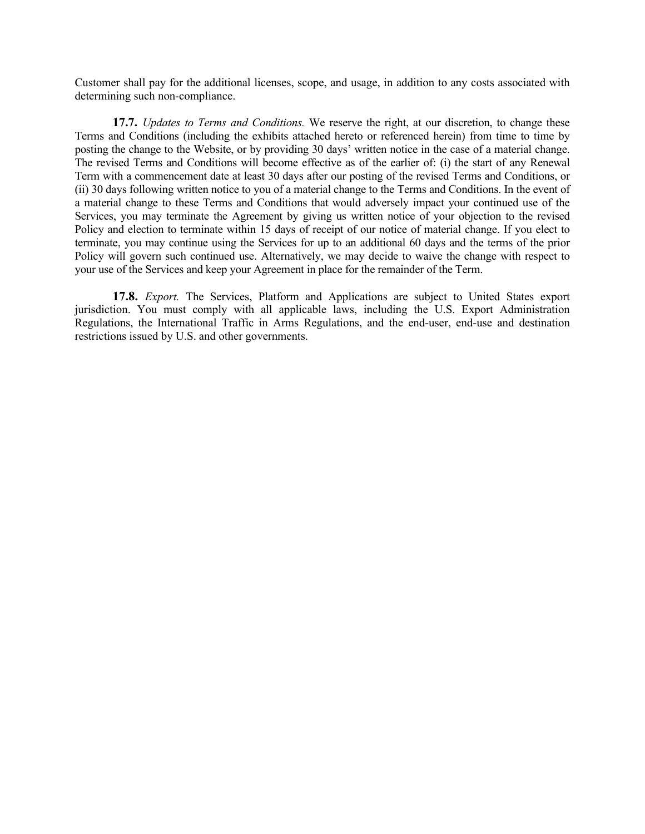Customer shall pay for the additional licenses, scope, and usage, in addition to any costs associated with determining such non-compliance.

**17.7.** *Updates to Terms and Conditions.* We reserve the right, at our discretion, to change these Terms and Conditions (including the exhibits attached hereto or referenced herein) from time to time by posting the change to the Website, or by providing 30 days' written notice in the case of a material change. The revised Terms and Conditions will become effective as of the earlier of: (i) the start of any Renewal Term with a commencement date at least 30 days after our posting of the revised Terms and Conditions, or (ii) 30 days following written notice to you of a material change to the Terms and Conditions. In the event of a material change to these Terms and Conditions that would adversely impact your continued use of the Services, you may terminate the Agreement by giving us written notice of your objection to the revised Policy and election to terminate within 15 days of receipt of our notice of material change. If you elect to terminate, you may continue using the Services for up to an additional 60 days and the terms of the prior Policy will govern such continued use. Alternatively, we may decide to waive the change with respect to your use of the Services and keep your Agreement in place for the remainder of the Term.

**17.8.** *Export.* The Services, Platform and Applications are subject to United States export jurisdiction. You must comply with all applicable laws, including the U.S. Export Administration Regulations, the International Traffic in Arms Regulations, and the end-user, end-use and destination restrictions issued by U.S. and other governments.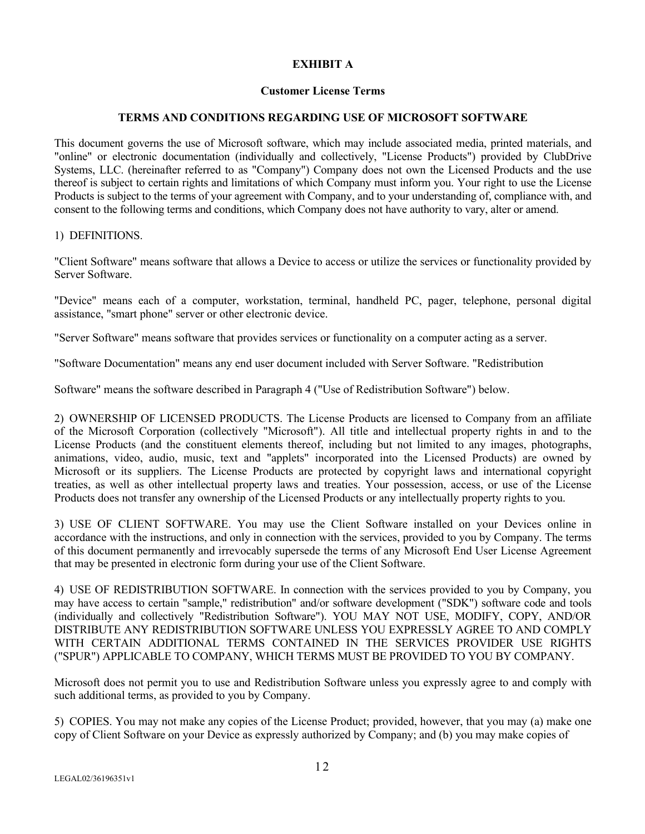# **EXHIBIT A**

# **Customer License Terms**

# **TERMS AND CONDITIONS REGARDING USE OF MICROSOFT SOFTWARE**

This document governs the use of Microsoft software, which may include associated media, printed materials, and "online" or electronic documentation (individually and collectively, "License Products") provided by ClubDrive Systems, LLC. (hereinafter referred to as "Company") Company does not own the Licensed Products and the use thereof is subject to certain rights and limitations of which Company must inform you. Your right to use the License Products is subject to the terms of your agreement with Company, and to your understanding of, compliance with, and consent to the following terms and conditions, which Company does not have authority to vary, alter or amend.

# 1) DEFINITIONS.

"Client Software" means software that allows a Device to access or utilize the services or functionality provided by Server Software.

"Device" means each of a computer, workstation, terminal, handheld PC, pager, telephone, personal digital assistance, "smart phone" server or other electronic device.

"Server Software" means software that provides services or functionality on a computer acting as a server.

"Software Documentation" means any end user document included with Server Software. "Redistribution

Software" means the software described in Paragraph 4 ("Use of Redistribution Software") below.

2) OWNERSHIP OF LICENSED PRODUCTS. The License Products are licensed to Company from an affiliate of the Microsoft Corporation (collectively "Microsoft"). All title and intellectual property rights in and to the License Products (and the constituent elements thereof, including but not limited to any images, photographs, animations, video, audio, music, text and "applets" incorporated into the Licensed Products) are owned by Microsoft or its suppliers. The License Products are protected by copyright laws and international copyright treaties, as well as other intellectual property laws and treaties. Your possession, access, or use of the License Products does not transfer any ownership of the Licensed Products or any intellectually property rights to you.

3) USE OF CLIENT SOFTWARE. You may use the Client Software installed on your Devices online in accordance with the instructions, and only in connection with the services, provided to you by Company. The terms of this document permanently and irrevocably supersede the terms of any Microsoft End User License Agreement that may be presented in electronic form during your use of the Client Software.

4) USE OF REDISTRIBUTION SOFTWARE. In connection with the services provided to you by Company, you may have access to certain "sample," redistribution" and/or software development ("SDK") software code and tools (individually and collectively "Redistribution Software"). YOU MAY NOT USE, MODIFY, COPY, AND/OR DISTRIBUTE ANY REDISTRIBUTION SOFTWARE UNLESS YOU EXPRESSLY AGREE TO AND COMPLY WITH CERTAIN ADDITIONAL TERMS CONTAINED IN THE SERVICES PROVIDER USE RIGHTS ("SPUR") APPLICABLE TO COMPANY, WHICH TERMS MUST BE PROVIDED TO YOU BY COMPANY.

Microsoft does not permit you to use and Redistribution Software unless you expressly agree to and comply with such additional terms, as provided to you by Company.

5) COPIES. You may not make any copies of the License Product; provided, however, that you may (a) make one copy of Client Software on your Device as expressly authorized by Company; and (b) you may make copies of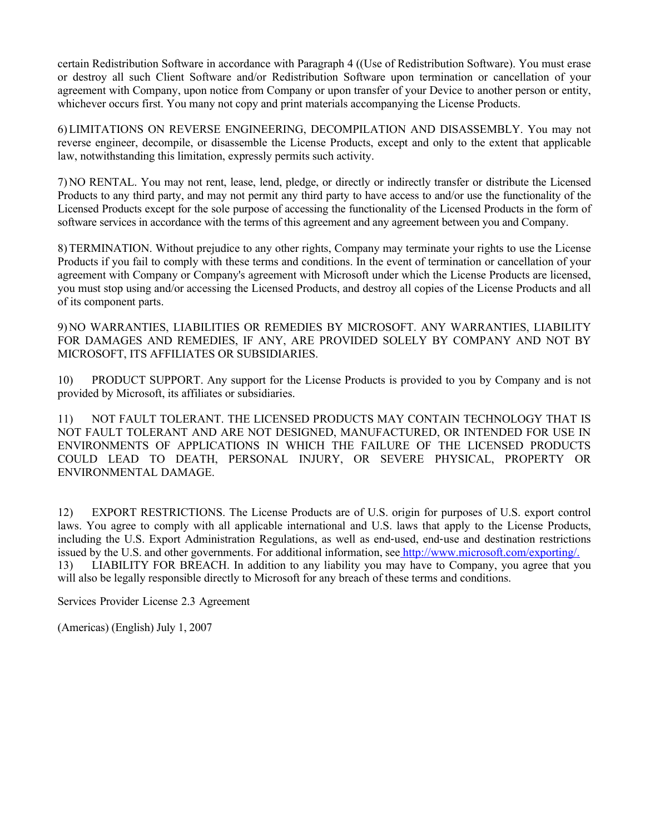certain Redistribution Software in accordance with Paragraph 4 ((Use of Redistribution Software). You must erase or destroy all such Client Software and/or Redistribution Software upon termination or cancellation of your agreement with Company, upon notice from Company or upon transfer of your Device to another person or entity, whichever occurs first. You many not copy and print materials accompanying the License Products.

6)LIMITATIONS ON REVERSE ENGINEERING, DECOMPILATION AND DISASSEMBLY. You may not reverse engineer, decompile, or disassemble the License Products, except and only to the extent that applicable law, notwithstanding this limitation, expressly permits such activity.

7)NO RENTAL. You may not rent, lease, lend, pledge, or directly or indirectly transfer or distribute the Licensed Products to any third party, and may not permit any third party to have access to and/or use the functionality of the Licensed Products except for the sole purpose of accessing the functionality of the Licensed Products in the form of software services in accordance with the terms of this agreement and any agreement between you and Company.

8)TERMINATION. Without prejudice to any other rights, Company may terminate your rights to use the License Products if you fail to comply with these terms and conditions. In the event of termination or cancellation of your agreement with Company or Company's agreement with Microsoft under which the License Products are licensed, you must stop using and/or accessing the Licensed Products, and destroy all copies of the License Products and all of its component parts.

9)NO WARRANTIES, LIABILITIES OR REMEDIES BY MICROSOFT. ANY WARRANTIES, LIABILITY FOR DAMAGES AND REMEDIES, IF ANY, ARE PROVIDED SOLELY BY COMPANY AND NOT BY MICROSOFT, ITS AFFILIATES OR SUBSIDIARIES.

10) PRODUCT SUPPORT. Any support for the License Products is provided to you by Company and is not provided by Microsoft, its affiliates or subsidiaries.

11) NOT FAULT TOLERANT. THE LICENSED PRODUCTS MAY CONTAIN TECHNOLOGY THAT IS NOT FAULT TOLERANT AND ARE NOT DESIGNED, MANUFACTURED, OR INTENDED FOR USE IN ENVIRONMENTS OF APPLICATIONS IN WHICH THE FAILURE OF THE LICENSED PRODUCTS COULD LEAD TO DEATH, PERSONAL INJURY, OR SEVERE PHYSICAL, PROPERTY OR ENVIRONMENTAL DAMAGE.

12) EXPORT RESTRICTIONS. The License Products are of U.S. origin for purposes of U.S. export control laws. You agree to comply with all applicable international and U.S. laws that apply to the License Products, including the U.S. Export Administration Regulations, as well as end-used, end-use and destination restrictions issued by the U.S. and other governments. For additional information, see http://www.microsoft.com/exporting/. 13) LIABILITY FOR BREACH. In addition to any liability you may have to Company, you agree that you will also be legally responsible directly to Microsoft for any breach of these terms and conditions.

Services Provider License 2.3 Agreement

(Americas) (English) July 1, 2007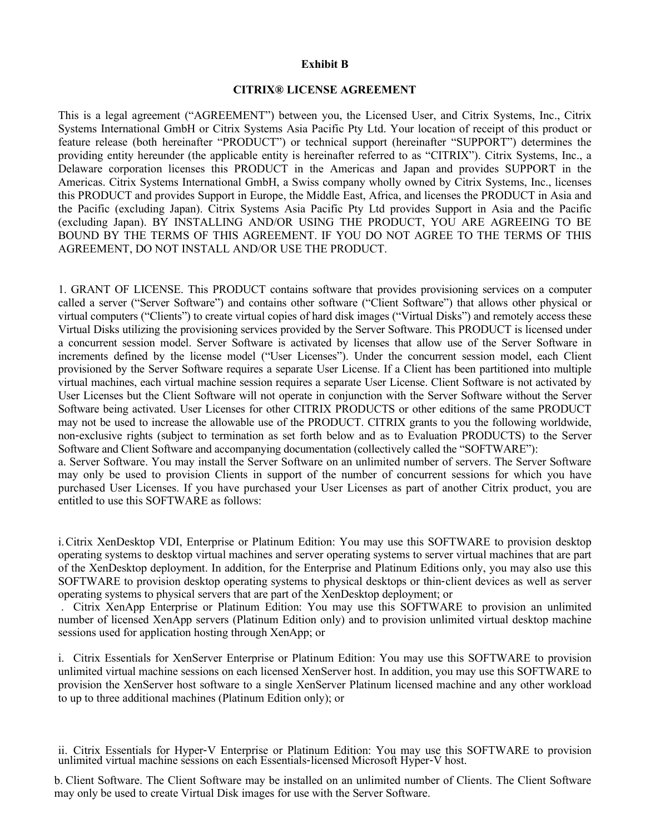#### **Exhibit B**

# **CITRIX® LICENSE AGREEMENT**

This is a legal agreement ("AGREEMENT") between you, the Licensed User, and Citrix Systems, Inc., Citrix Systems International GmbH or Citrix Systems Asia Pacific Pty Ltd. Your location of receipt of this product or feature release (both hereinafter "PRODUCT") or technical support (hereinafter "SUPPORT") determines the providing entity hereunder (the applicable entity is hereinafter referred to as "CITRIX"). Citrix Systems, Inc., a Delaware corporation licenses this PRODUCT in the Americas and Japan and provides SUPPORT in the Americas. Citrix Systems International GmbH, a Swiss company wholly owned by Citrix Systems, Inc., licenses this PRODUCT and provides Support in Europe, the Middle East, Africa, and licenses the PRODUCT in Asia and the Pacific (excluding Japan). Citrix Systems Asia Pacific Pty Ltd provides Support in Asia and the Pacific (excluding Japan). BY INSTALLING AND/OR USING THE PRODUCT, YOU ARE AGREEING TO BE BOUND BY THE TERMS OF THIS AGREEMENT. IF YOU DO NOT AGREE TO THE TERMS OF THIS AGREEMENT, DO NOT INSTALL AND/OR USE THE PRODUCT.

1. GRANT OF LICENSE. This PRODUCT contains software that provides provisioning services on a computer called a server ("Server Software") and contains other software ("Client Software") that allows other physical or virtual computers ("Clients") to create virtual copies of hard disk images ("Virtual Disks") and remotely access these Virtual Disks utilizing the provisioning services provided by the Server Software. This PRODUCT is licensed under a concurrent session model. Server Software is activated by licenses that allow use of the Server Software in increments defined by the license model ("User Licenses"). Under the concurrent session model, each Client provisioned by the Server Software requires a separate User License. If a Client has been partitioned into multiple virtual machines, each virtual machine session requires a separate User License. Client Software is not activated by User Licenses but the Client Software will not operate in conjunction with the Server Software without the Server Software being activated. User Licenses for other CITRIX PRODUCTS or other editions of the same PRODUCT may not be used to increase the allowable use of the PRODUCT. CITRIX grants to you the following worldwide, non-exclusive rights (subject to termination as set forth below and as to Evaluation PRODUCTS) to the Server Software and Client Software and accompanying documentation (collectively called the "SOFTWARE"):

a. Server Software. You may install the Server Software on an unlimited number of servers. The Server Software may only be used to provision Clients in support of the number of concurrent sessions for which you have purchased User Licenses. If you have purchased your User Licenses as part of another Citrix product, you are entitled to use this SOFTWARE as follows:

i.Citrix XenDesktop VDI, Enterprise or Platinum Edition: You may use this SOFTWARE to provision desktop operating systems to desktop virtual machines and server operating systems to server virtual machines that are part of the XenDesktop deployment. In addition, for the Enterprise and Platinum Editions only, you may also use this SOFTWARE to provision desktop operating systems to physical desktops or thin-client devices as well as server operating systems to physical servers that are part of the XenDesktop deployment; or

. Citrix XenApp Enterprise or Platinum Edition: You may use this SOFTWARE to provision an unlimited number of licensed XenApp servers (Platinum Edition only) and to provision unlimited virtual desktop machine sessions used for application hosting through XenApp; or

i. Citrix Essentials for XenServer Enterprise or Platinum Edition: You may use this SOFTWARE to provision unlimited virtual machine sessions on each licensed XenServer host. In addition, you may use this SOFTWARE to provision the XenServer host software to a single XenServer Platinum licensed machine and any other workload to up to three additional machines (Platinum Edition only); or

ii. Citrix Essentials for Hyper-V Enterprise or Platinum Edition: You may use this SOFTWARE to provision unlimited virtual machine sessions on each Essentials-licensed Microsoft Hyper-V host.

b. Client Software. The Client Software may be installed on an unlimited number of Clients. The Client Software may only be used to create Virtual Disk images for use with the Server Software.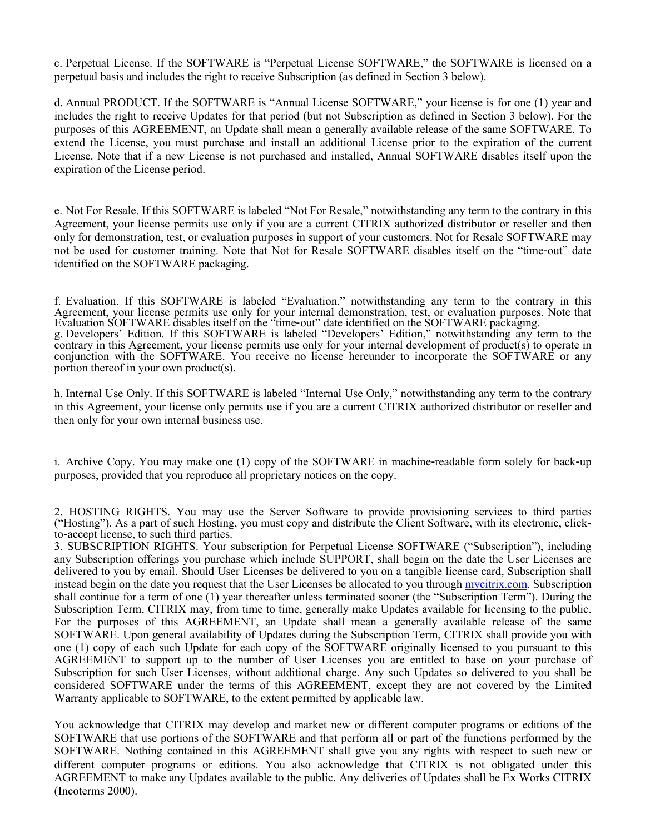c. Perpetual License. If the SOFTWARE is "Perpetual License SOFTWARE," the SOFTWARE is licensed on a perpetual basis and includes the right to receive Subscription (as defined in Section 3 below).

d. Annual PRODUCT. If the SOFTWARE is "Annual License SOFTWARE," your license is for one (1) year and includes the right to receive Updates for that period (but not Subscription as defined in Section 3 below). For the purposes of this AGREEMENT, an Update shall mean a generally available release of the same SOFTWARE. To extend the License, you must purchase and install an additional License prior to the expiration of the current License. Note that if a new License is not purchased and installed, Annual SOFTWARE disables itself upon the expiration of the License period.

e. Not For Resale. If this SOFTWARE is labeled "Not For Resale," notwithstanding any term to the contrary in this Agreement, your license permits use only if you are a current CITRIX authorized distributor or reseller and then only for demonstration, test, or evaluation purposes in support of your customers. Not for Resale SOFTWARE may not be used for customer training. Note that Not for Resale SOFTWARE disables itself on the "time-out" date identified on the SOFTWARE packaging.

f. Evaluation. If this SOFTWARE is labeled "Evaluation," notwithstanding any term to the contrary in this Agreement, your license permits use only for your internal demonstration, test, or evaluation purposes. Note that Evaluation SOFTWARE disables itself on the "time-out" date identified on the SOFTWARE packaging. g. Developers' Edition. If this SOFTWARE is labeled "Developers' Edition," notwithstanding any term to the contrary in this Agreement, your license permits use only for your internal development of product(s) to operate in conjunction with the SOFTWARE. You receive no license hereunder to incorporate the SOFTWARE or any portion thereof in your own product(s).

h. Internal Use Only. If this SOFTWARE is labeled "Internal Use Only," notwithstanding any term to the contrary in this Agreement, your license only permits use if you are a current CITRIX authorized distributor or reseller and then only for your own internal business use.

i. Archive Copy. You may make one (1) copy of the SOFTWARE in machine-readable form solely for back-up purposes, provided that you reproduce all proprietary notices on the copy.

2, HOSTING RIGHTS. You may use the Server Software to provide provisioning services to third parties ("Hosting"). As a part of such Hosting, you must copy and distribute the Client Software, with its electronic, click- to-accept license, to such third parties.

3. SUBSCRIPTION RIGHTS. Your subscription for Perpetual License SOFTWARE ("Subscription"), including any Subscription offerings you purchase which include SUPPORT, shall begin on the date the User Licenses are delivered to you by email. Should User Licenses be delivered to you on a tangible license card, Subscription shall instead begin on the date you request that the User Licenses be allocated to you through mycitrix.com. Subscription shall continue for a term of one (1) year thereafter unless terminated sooner (the "Subscription Term"). During the Subscription Term, CITRIX may, from time to time, generally make Updates available for licensing to the public. For the purposes of this AGREEMENT, an Update shall mean a generally available release of the same SOFTWARE. Upon general availability of Updates during the Subscription Term, CITRIX shall provide you with one (1) copy of each such Update for each copy of the SOFTWARE originally licensed to you pursuant to this AGREEMENT to support up to the number of User Licenses you are entitled to base on your purchase of Subscription for such User Licenses, without additional charge. Any such Updates so delivered to you shall be considered SOFTWARE under the terms of this AGREEMENT, except they are not covered by the Limited Warranty applicable to SOFTWARE, to the extent permitted by applicable law.

You acknowledge that CITRIX may develop and market new or different computer programs or editions of the SOFTWARE that use portions of the SOFTWARE and that perform all or part of the functions performed by the SOFTWARE. Nothing contained in this AGREEMENT shall give you any rights with respect to such new or different computer programs or editions. You also acknowledge that CITRIX is not obligated under this AGREEMENT to make any Updates available to the public. Any deliveries of Updates shall be Ex Works CITRIX (Incoterms 2000).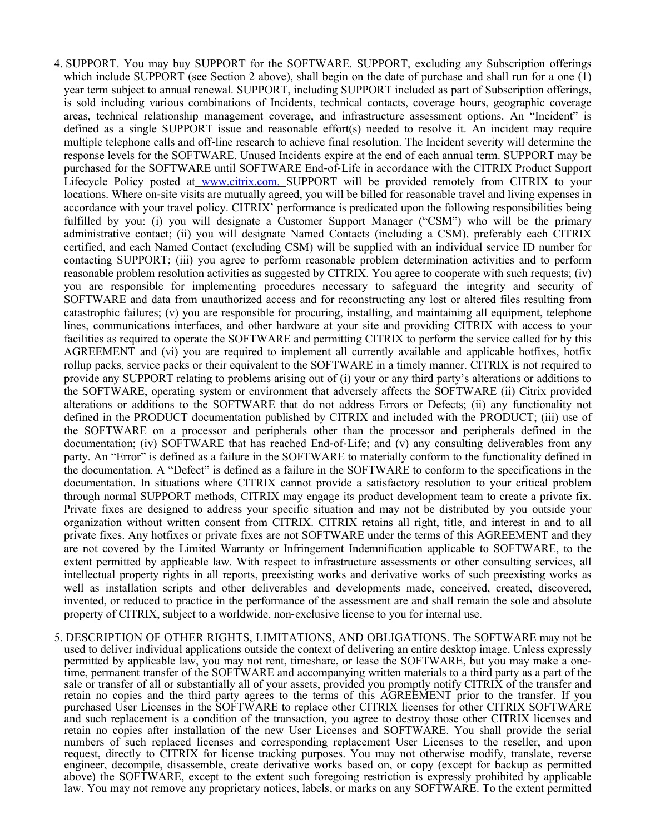- 4. SUPPORT. You may buy SUPPORT for the SOFTWARE. SUPPORT, excluding any Subscription offerings which include SUPPORT (see Section 2 above), shall begin on the date of purchase and shall run for a one (1) year term subject to annual renewal. SUPPORT, including SUPPORT included as part of Subscription offerings, is sold including various combinations of Incidents, technical contacts, coverage hours, geographic coverage areas, technical relationship management coverage, and infrastructure assessment options. An "Incident" is defined as a single SUPPORT issue and reasonable effort(s) needed to resolve it. An incident may require multiple telephone calls and off-line research to achieve final resolution. The Incident severity will determine the response levels for the SOFTWARE. Unused Incidents expire at the end of each annual term. SUPPORT may be purchased for the SOFTWARE until SOFTWARE End-of-Life in accordance with the CITRIX Product Support Lifecycle Policy posted at www.citrix.com. SUPPORT will be provided remotely from CITRIX to your locations. Where on-site visits are mutually agreed, you will be billed for reasonable travel and living expenses in accordance with your travel policy. CITRIX' performance is predicated upon the following responsibilities being fulfilled by you: (i) you will designate a Customer Support Manager ("CSM") who will be the primary administrative contact; (ii) you will designate Named Contacts (including a CSM), preferably each CITRIX certified, and each Named Contact (excluding CSM) will be supplied with an individual service ID number for contacting SUPPORT; (iii) you agree to perform reasonable problem determination activities and to perform reasonable problem resolution activities as suggested by CITRIX. You agree to cooperate with such requests; (iv) you are responsible for implementing procedures necessary to safeguard the integrity and security of SOFTWARE and data from unauthorized access and for reconstructing any lost or altered files resulting from catastrophic failures; (v) you are responsible for procuring, installing, and maintaining all equipment, telephone lines, communications interfaces, and other hardware at your site and providing CITRIX with access to your facilities as required to operate the SOFTWARE and permitting CITRIX to perform the service called for by this AGREEMENT and (vi) you are required to implement all currently available and applicable hotfixes, hotfix rollup packs, service packs or their equivalent to the SOFTWARE in a timely manner. CITRIX is not required to provide any SUPPORT relating to problems arising out of (i) your or any third party's alterations or additions to the SOFTWARE, operating system or environment that adversely affects the SOFTWARE (ii) Citrix provided alterations or additions to the SOFTWARE that do not address Errors or Defects; (ii) any functionality not defined in the PRODUCT documentation published by CITRIX and included with the PRODUCT; (iii) use of the SOFTWARE on a processor and peripherals other than the processor and peripherals defined in the documentation; (iv) SOFTWARE that has reached End-of-Life; and (v) any consulting deliverables from any party. An "Error" is defined as a failure in the SOFTWARE to materially conform to the functionality defined in the documentation. A "Defect" is defined as a failure in the SOFTWARE to conform to the specifications in the documentation. In situations where CITRIX cannot provide a satisfactory resolution to your critical problem through normal SUPPORT methods, CITRIX may engage its product development team to create a private fix. Private fixes are designed to address your specific situation and may not be distributed by you outside your organization without written consent from CITRIX. CITRIX retains all right, title, and interest in and to all private fixes. Any hotfixes or private fixes are not SOFTWARE under the terms of this AGREEMENT and they are not covered by the Limited Warranty or Infringement Indemnification applicable to SOFTWARE, to the extent permitted by applicable law. With respect to infrastructure assessments or other consulting services, all intellectual property rights in all reports, preexisting works and derivative works of such preexisting works as well as installation scripts and other deliverables and developments made, conceived, created, discovered, invented, or reduced to practice in the performance of the assessment are and shall remain the sole and absolute property of CITRIX, subject to a worldwide, non-exclusive license to you for internal use.
- 5. DESCRIPTION OF OTHER RIGHTS, LIMITATIONS, AND OBLIGATIONS. The SOFTWARE may not be used to deliver individual applications outside the context of delivering an entire desktop image. Unless expressly permitted by applicable law, you may not rent, timeshare, or lease the SOFTWARE, but you may make a onetime, permanent transfer of the SOFTWARE and accompanying written materials to a third party as a part of the sale or transfer of all or substantially all of your assets, provided you promptly notify CITRIX of the transfer and retain no copies and the third party agrees to the terms of this AGREEMENT prior to the transfer. If you purchased User Licenses in the SOFTWARE to replace other CITRIX licenses for other CITRIX SOFTWARE and such replacement is a condition of the transaction, you agree to destroy those other CITRIX licenses and retain no copies after installation of the new User Licenses and SOFTWARE. You shall provide the serial numbers of such replaced licenses and corresponding replacement User Licenses to the reseller, and upon request, directly to CITRIX for license tracking purposes. You may not otherwise modify, translate, reverse engineer, decompile, disassemble, create derivative works based on, or copy (except for backup as permitted above) the SOFTWARE, except to the extent such foregoing restriction is expressly prohibited by applicable law. You may not remove any proprietary notices, labels, or marks on any SOFTWARE. To the extent permitted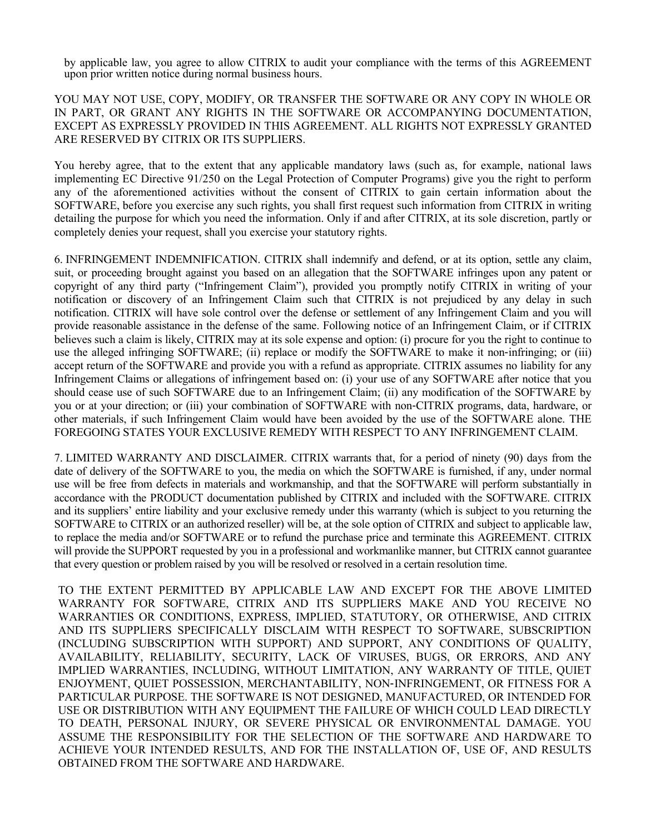by applicable law, you agree to allow CITRIX to audit your compliance with the terms of this AGREEMENT upon prior written notice during normal business hours.

YOU MAY NOT USE, COPY, MODIFY, OR TRANSFER THE SOFTWARE OR ANY COPY IN WHOLE OR IN PART, OR GRANT ANY RIGHTS IN THE SOFTWARE OR ACCOMPANYING DOCUMENTATION, EXCEPT AS EXPRESSLY PROVIDED IN THIS AGREEMENT. ALL RIGHTS NOT EXPRESSLY GRANTED ARE RESERVED BY CITRIX OR ITS SUPPLIERS.

You hereby agree, that to the extent that any applicable mandatory laws (such as, for example, national laws implementing EC Directive 91/250 on the Legal Protection of Computer Programs) give you the right to perform any of the aforementioned activities without the consent of CITRIX to gain certain information about the SOFTWARE, before you exercise any such rights, you shall first request such information from CITRIX in writing detailing the purpose for which you need the information. Only if and after CITRIX, at its sole discretion, partly or completely denies your request, shall you exercise your statutory rights.

6. INFRINGEMENT INDEMNIFICATION. CITRIX shall indemnify and defend, or at its option, settle any claim, suit, or proceeding brought against you based on an allegation that the SOFTWARE infringes upon any patent or copyright of any third party ("Infringement Claim"), provided you promptly notify CITRIX in writing of your notification or discovery of an Infringement Claim such that CITRIX is not prejudiced by any delay in such notification. CITRIX will have sole control over the defense or settlement of any Infringement Claim and you will provide reasonable assistance in the defense of the same. Following notice of an Infringement Claim, or if CITRIX believes such a claim is likely, CITRIX may at its sole expense and option: (i) procure for you the right to continue to use the alleged infringing SOFTWARE; (ii) replace or modify the SOFTWARE to make it non-infringing; or (iii) accept return of the SOFTWARE and provide you with a refund as appropriate. CITRIX assumes no liability for any Infringement Claims or allegations of infringement based on: (i) your use of any SOFTWARE after notice that you should cease use of such SOFTWARE due to an Infringement Claim; (ii) any modification of the SOFTWARE by you or at your direction; or (iii) your combination of SOFTWARE with non-CITRIX programs, data, hardware, or other materials, if such Infringement Claim would have been avoided by the use of the SOFTWARE alone. THE FOREGOING STATES YOUR EXCLUSIVE REMEDY WITH RESPECT TO ANY INFRINGEMENT CLAIM.

7. LIMITED WARRANTY AND DISCLAIMER. CITRIX warrants that, for a period of ninety (90) days from the date of delivery of the SOFTWARE to you, the media on which the SOFTWARE is furnished, if any, under normal use will be free from defects in materials and workmanship, and that the SOFTWARE will perform substantially in accordance with the PRODUCT documentation published by CITRIX and included with the SOFTWARE. CITRIX and its suppliers' entire liability and your exclusive remedy under this warranty (which is subject to you returning the SOFTWARE to CITRIX or an authorized reseller) will be, at the sole option of CITRIX and subject to applicable law, to replace the media and/or SOFTWARE or to refund the purchase price and terminate this AGREEMENT. CITRIX will provide the SUPPORT requested by you in a professional and workmanlike manner, but CITRIX cannot guarantee that every question or problem raised by you will be resolved or resolved in a certain resolution time.

TO THE EXTENT PERMITTED BY APPLICABLE LAW AND EXCEPT FOR THE ABOVE LIMITED WARRANTY FOR SOFTWARE, CITRIX AND ITS SUPPLIERS MAKE AND YOU RECEIVE NO WARRANTIES OR CONDITIONS, EXPRESS, IMPLIED, STATUTORY, OR OTHERWISE, AND CITRIX AND ITS SUPPLIERS SPECIFICALLY DISCLAIM WITH RESPECT TO SOFTWARE, SUBSCRIPTION (INCLUDING SUBSCRIPTION WITH SUPPORT) AND SUPPORT, ANY CONDITIONS OF QUALITY, AVAILABILITY, RELIABILITY, SECURITY, LACK OF VIRUSES, BUGS, OR ERRORS, AND ANY IMPLIED WARRANTIES, INCLUDING, WITHOUT LIMITATION, ANY WARRANTY OF TITLE, QUIET ENJOYMENT, QUIET POSSESSION, MERCHANTABILITY, NON-INFRINGEMENT, OR FITNESS FOR A PARTICULAR PURPOSE. THE SOFTWARE IS NOT DESIGNED, MANUFACTURED, OR INTENDED FOR USE OR DISTRIBUTION WITH ANY EQUIPMENT THE FAILURE OF WHICH COULD LEAD DIRECTLY TO DEATH, PERSONAL INJURY, OR SEVERE PHYSICAL OR ENVIRONMENTAL DAMAGE. YOU ASSUME THE RESPONSIBILITY FOR THE SELECTION OF THE SOFTWARE AND HARDWARE TO ACHIEVE YOUR INTENDED RESULTS, AND FOR THE INSTALLATION OF, USE OF, AND RESULTS OBTAINED FROM THE SOFTWARE AND HARDWARE.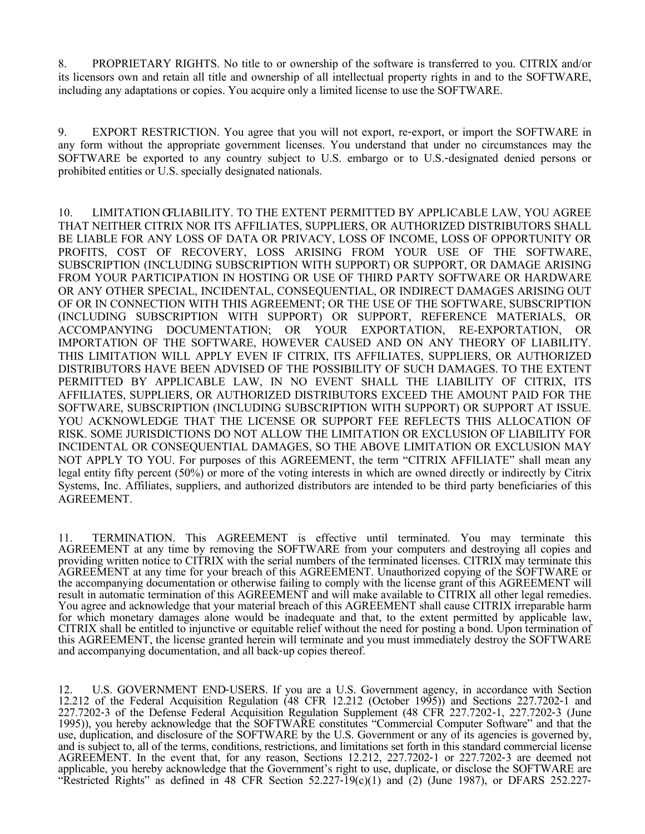8. PROPRIETARY RIGHTS. No title to or ownership of the software is transferred to you. CITRIX and/or its licensors own and retain all title and ownership of all intellectual property rights in and to the SOFTWARE, including any adaptations or copies. You acquire only a limited license to use the SOFTWARE.

9. EXPORT RESTRICTION. You agree that you will not export, re-export, or import the SOFTWARE in any form without the appropriate government licenses. You understand that under no circumstances may the SOFTWARE be exported to any country subject to U.S. embargo or to U.S.-designated denied persons or prohibited entities or U.S. specially designated nationals.

10. LIMITATION OF LIABILITY. TO THE EXTENT PERMITTED BY APPLICABLE LAW, YOU AGREE THAT NEITHER CITRIX NOR ITS AFFILIATES, SUPPLIERS, OR AUTHORIZED DISTRIBUTORS SHALL BE LIABLE FOR ANY LOSS OF DATA OR PRIVACY, LOSS OF INCOME, LOSS OF OPPORTUNITY OR PROFITS, COST OF RECOVERY, LOSS ARISING FROM YOUR USE OF THE SOFTWARE, SUBSCRIPTION (INCLUDING SUBSCRIPTION WITH SUPPORT) OR SUPPORT, OR DAMAGE ARISING FROM YOUR PARTICIPATION IN HOSTING OR USE OF THIRD PARTY SOFTWARE OR HARDWARE OR ANY OTHER SPECIAL, INCIDENTAL, CONSEQUENTIAL, OR INDIRECT DAMAGES ARISING OUT OF OR IN CONNECTION WITH THIS AGREEMENT; OR THE USE OF THE SOFTWARE, SUBSCRIPTION (INCLUDING SUBSCRIPTION WITH SUPPORT) OR SUPPORT, REFERENCE MATERIALS, OR ACCOMPANYING DOCUMENTATION; OR YOUR EXPORTATION, RE-EXPORTATION, OR IMPORTATION OF THE SOFTWARE, HOWEVER CAUSED AND ON ANY THEORY OF LIABILITY. THIS LIMITATION WILL APPLY EVEN IF CITRIX, ITS AFFILIATES, SUPPLIERS, OR AUTHORIZED DISTRIBUTORS HAVE BEEN ADVISED OF THE POSSIBILITY OF SUCH DAMAGES. TO THE EXTENT PERMITTED BY APPLICABLE LAW, IN NO EVENT SHALL THE LIABILITY OF CITRIX, ITS AFFILIATES, SUPPLIERS, OR AUTHORIZED DISTRIBUTORS EXCEED THE AMOUNT PAID FOR THE SOFTWARE, SUBSCRIPTION (INCLUDING SUBSCRIPTION WITH SUPPORT) OR SUPPORT AT ISSUE. YOU ACKNOWLEDGE THAT THE LICENSE OR SUPPORT FEE REFLECTS THIS ALLOCATION OF RISK. SOME JURISDICTIONS DO NOT ALLOW THE LIMITATION OR EXCLUSION OF LIABILITY FOR INCIDENTAL OR CONSEQUENTIAL DAMAGES, SO THE ABOVE LIMITATION OR EXCLUSION MAY NOT APPLY TO YOU. For purposes of this AGREEMENT, the term "CITRIX AFFILIATE" shall mean any legal entity fifty percent (50%) or more of the voting interests in which are owned directly or indirectly by Citrix Systems, Inc. Affiliates, suppliers, and authorized distributors are intended to be third party beneficiaries of this AGREEMENT.

11. TERMINATION. This AGREEMENT is effective until terminated. You may terminate this AGREEMENT at any time by removing the SOFTWARE from your computers and destroying all copies and providing written notice to CITRIX with the serial numbers of the terminated licenses. CITRIX may terminate this AGREEMENT at any time for your breach of this AGREEMENT. Unauthorized copying of the SOFTWARE or the accompanying documentation or otherwise failing to comply with the license grant of this AGREEMENT will result in automatic termination of this AGREEMENT and will make available to CITRIX all other legal remedies. You agree and acknowledge that your material breach of this AGREEMENT shall cause CITRIX irreparable harm for which monetary damages alone would be inadequate and that, to the extent permitted by applicable law, CITRIX shall be entitled to injunctive or equitable relief without the need for posting a bond. Upon termination of this AGREEMENT, the license granted herein will terminate and you must immediately destroy the SOFTWARE and accompanying documentation, and all back-up copies thereof.

12. U.S. GOVERNMENT END-USERS. If you are a U.S. Government agency, in accordance with Section 12.212 of the Federal Acquisition Regulation (48 CFR 12.212 (October 1995)) and Sections 227.7202-1 and 227.7202-3 of the Defense Federal Acquisition Regulation Supplement (48 CFR 227.7202-1, 227.7202-3 (June 1995)), you hereby acknowledge that the SOFTWARE constitutes "Commercial Computer Software" and that the use, duplication, and disclosure of the SOFTWARE by the U.S. Government or any of its agencies is governed by, and is subject to, all of the terms, conditions, restrictions, and limitations set forth in this standard commercial license AGREEMENT. In the event that, for any reason, Sections 12.212, 227.7202-1 or 227.7202-3 are deemed not applicable, you hereby acknowledge that the Government's right to use, duplicate, or disclose the SOFTWARE are "Restricted Rights" as defined in 48 CFR Section 52.227-19(c)(1) and (2) (June 1987), or DFARS 252.227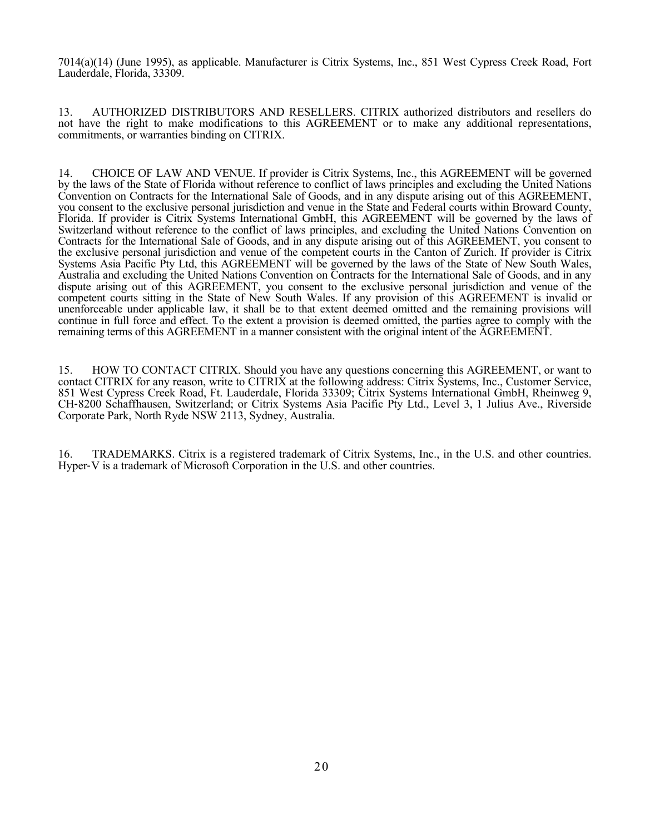7014(a)(14) (June 1995), as applicable. Manufacturer is Citrix Systems, Inc., 851 West Cypress Creek Road, Fort Lauderdale, Florida, 33309.

13. AUTHORIZED DISTRIBUTORS AND RESELLERS. CITRIX authorized distributors and resellers do not have the right to make modifications to this AGREEMENT or to make any additional representations, commitments, or warranties binding on CITRIX.

14. CHOICE OF LAW AND VENUE. If provider is Citrix Systems, Inc., this AGREEMENT will be governed by the laws of the State of Florida without reference to conflict of laws principles and excluding the United Nations Convention on Contracts for the International Sale of Goods, and in any dispute arising out of this AGREEMENT, you consent to the exclusive personal jurisdiction and venue in the State and Federal courts within Broward County, Florida. If provider is Citrix Systems International GmbH, this AGREEMENT will be governed by the laws of Switzerland without reference to the conflict of laws principles, and excluding the United Nations Convention on Contracts for the International Sale of Goods, and in any dispute arising out of this AGREEMENT, you consent to the exclusive personal jurisdiction and venue of the competent courts in the Canton of Zurich. If provider is Citrix Systems Asia Pacific Pty Ltd, this AGREEMENT will be governed by the laws of the State of New South Wales, Australia and excluding the United Nations Convention on Contracts for the International Sale of Goods, and in any dispute arising out of this AGREEMENT, you consent to the exclusive personal jurisdiction and venue of the competent courts sitting in the State of New South Wales. If any provision of this AGREEMENT is invalid or unenforceable under applicable law, it shall be to that extent deemed omitted and the remaining provisions will continue in full force and effect. To the extent a provision is deemed omitted, the parties agree to comply with the remaining terms of this AGREEMENT in a manner consistent with the original intent of the AGREEMENT.

15. HOW TO CONTACT CITRIX. Should you have any questions concerning this AGREEMENT, or want to contact CITRIX for any reason, write to CITRIX at the following address: Citrix Systems, Inc., Customer Service, 851 West Cypress Creek Road, Ft. Lauderdale, Florida 33309; Citrix Systems International GmbH, Rheinweg 9, CH-8200 Schaffhausen, Switzerland; or Citrix Systems Asia Pacific Pty Ltd., Level 3, 1 Julius Ave., Riverside Corporate Park, North Ryde NSW 2113, Sydney, Australia.

16. TRADEMARKS. Citrix is a registered trademark of Citrix Systems, Inc., in the U.S. and other countries. Hyper-V is a trademark of Microsoft Corporation in the U.S. and other countries.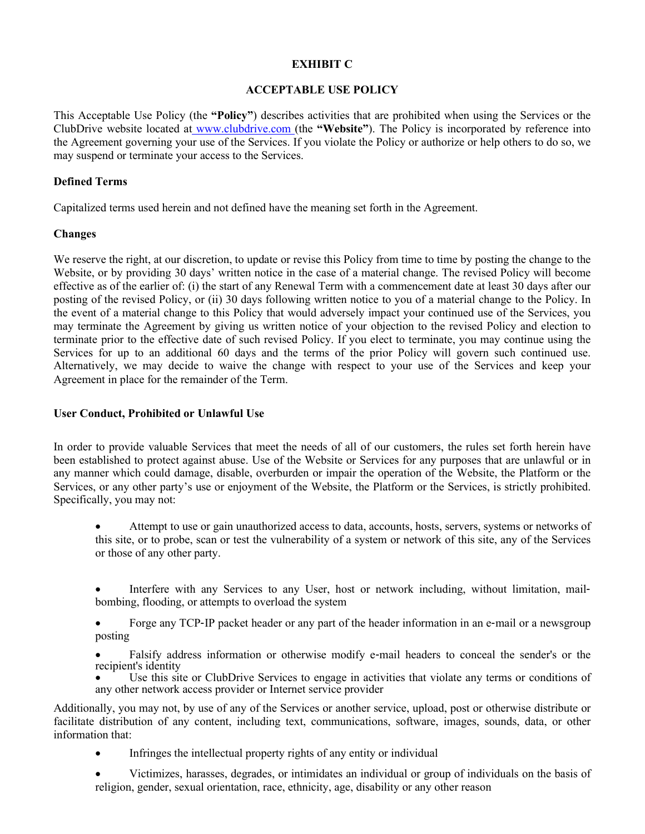# **EXHIBIT C**

# **ACCEPTABLE USE POLICY**

This Acceptable Use Policy (the **"Policy"**) describes activities that are prohibited when using the Services or the ClubDrive website located at www.clubdrive.com (the **"Website"**). The Policy is incorporated by reference into the Agreement governing your use of the Services. If you violate the Policy or authorize or help others to do so, we may suspend or terminate your access to the Services.

### **Defined Terms**

Capitalized terms used herein and not defined have the meaning set forth in the Agreement.

#### **Changes**

We reserve the right, at our discretion, to update or revise this Policy from time to time by posting the change to the Website, or by providing 30 days' written notice in the case of a material change. The revised Policy will become effective as of the earlier of: (i) the start of any Renewal Term with a commencement date at least 30 days after our posting of the revised Policy, or (ii) 30 days following written notice to you of a material change to the Policy. In the event of a material change to this Policy that would adversely impact your continued use of the Services, you may terminate the Agreement by giving us written notice of your objection to the revised Policy and election to terminate prior to the effective date of such revised Policy. If you elect to terminate, you may continue using the Services for up to an additional 60 days and the terms of the prior Policy will govern such continued use. Alternatively, we may decide to waive the change with respect to your use of the Services and keep your Agreement in place for the remainder of the Term.

### **User Conduct, Prohibited or Unlawful Use**

In order to provide valuable Services that meet the needs of all of our customers, the rules set forth herein have been established to protect against abuse. Use of the Website or Services for any purposes that are unlawful or in any manner which could damage, disable, overburden or impair the operation of the Website, the Platform or the Services, or any other party's use or enjoyment of the Website, the Platform or the Services, is strictly prohibited. Specifically, you may not:

 Attempt to use or gain unauthorized access to data, accounts, hosts, servers, systems or networks of this site, or to probe, scan or test the vulnerability of a system or network of this site, any of the Services or those of any other party.

 Interfere with any Services to any User, host or network including, without limitation, mailbombing, flooding, or attempts to overload the system

 Forge any TCP-IP packet header or any part of the header information in an e-mail or a newsgroup posting

 Falsify address information or otherwise modify e-mail headers to conceal the sender's or the recipient's identity

 Use this site or ClubDrive Services to engage in activities that violate any terms or conditions of any other network access provider or Internet service provider

Additionally, you may not, by use of any of the Services or another service, upload, post or otherwise distribute or facilitate distribution of any content, including text, communications, software, images, sounds, data, or other information that:

Infringes the intellectual property rights of any entity or individual

 Victimizes, harasses, degrades, or intimidates an individual or group of individuals on the basis of religion, gender, sexual orientation, race, ethnicity, age, disability or any other reason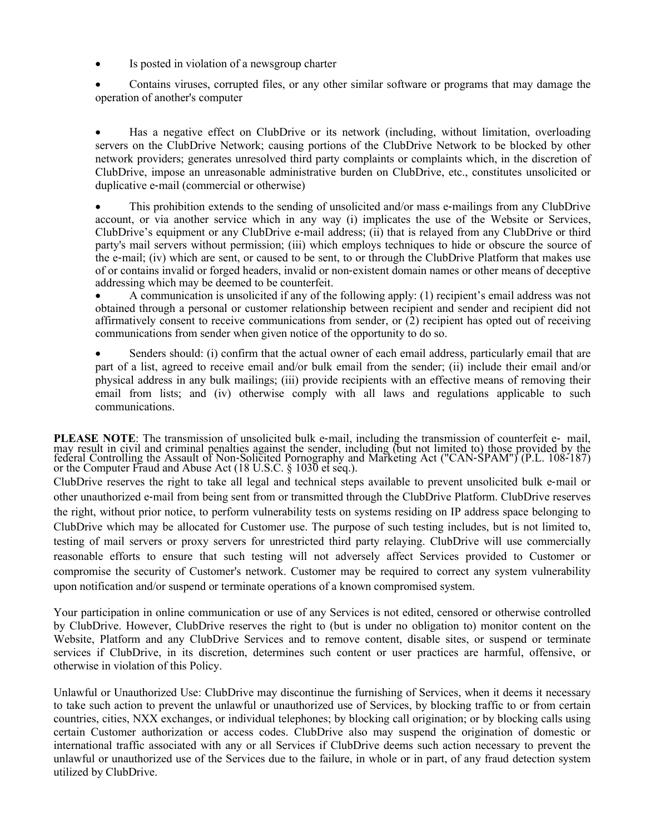- Is posted in violation of a newsgroup charter
- Contains viruses, corrupted files, or any other similar software or programs that may damage the operation of another's computer

 Has a negative effect on ClubDrive or its network (including, without limitation, overloading servers on the ClubDrive Network; causing portions of the ClubDrive Network to be blocked by other network providers; generates unresolved third party complaints or complaints which, in the discretion of ClubDrive, impose an unreasonable administrative burden on ClubDrive, etc., constitutes unsolicited or duplicative e-mail (commercial or otherwise)

 This prohibition extends to the sending of unsolicited and/or mass e-mailings from any ClubDrive account, or via another service which in any way (i) implicates the use of the Website or Services, ClubDrive's equipment or any ClubDrive e-mail address; (ii) that is relayed from any ClubDrive or third party's mail servers without permission; (iii) which employs techniques to hide or obscure the source of the e-mail; (iv) which are sent, or caused to be sent, to or through the ClubDrive Platform that makes use of or contains invalid or forged headers, invalid or non-existent domain names or other means of deceptive addressing which may be deemed to be counterfeit.

 A communication is unsolicited if any of the following apply: (1) recipient's email address was not obtained through a personal or customer relationship between recipient and sender and recipient did not affirmatively consent to receive communications from sender, or (2) recipient has opted out of receiving communications from sender when given notice of the opportunity to do so.

 Senders should: (i) confirm that the actual owner of each email address, particularly email that are part of a list, agreed to receive email and/or bulk email from the sender; (ii) include their email and/or physical address in any bulk mailings; (iii) provide recipients with an effective means of removing their email from lists; and (iv) otherwise comply with all laws and regulations applicable to such communications.

**PLEASE NOTE:** The transmission of unsolicited bulk e-mail, including the transmission of counterfeit e- mail, may result in civil and criminal penalties against the sender, including (but not limited to) those provided by

ClubDrive reserves the right to take all legal and technical steps available to prevent unsolicited bulk e-mail or other unauthorized e-mail from being sent from or transmitted through the ClubDrive Platform. ClubDrive reserves the right, without prior notice, to perform vulnerability tests on systems residing on IP address space belonging to ClubDrive which may be allocated for Customer use. The purpose of such testing includes, but is not limited to, testing of mail servers or proxy servers for unrestricted third party relaying. ClubDrive will use commercially reasonable efforts to ensure that such testing will not adversely affect Services provided to Customer or compromise the security of Customer's network. Customer may be required to correct any system vulnerability upon notification and/or suspend or terminate operations of a known compromised system.

Your participation in online communication or use of any Services is not edited, censored or otherwise controlled by ClubDrive. However, ClubDrive reserves the right to (but is under no obligation to) monitor content on the Website, Platform and any ClubDrive Services and to remove content, disable sites, or suspend or terminate services if ClubDrive, in its discretion, determines such content or user practices are harmful, offensive, or otherwise in violation of this Policy.

Unlawful or Unauthorized Use: ClubDrive may discontinue the furnishing of Services, when it deems it necessary to take such action to prevent the unlawful or unauthorized use of Services, by blocking traffic to or from certain countries, cities, NXX exchanges, or individual telephones; by blocking call origination; or by blocking calls using certain Customer authorization or access codes. ClubDrive also may suspend the origination of domestic or international traffic associated with any or all Services if ClubDrive deems such action necessary to prevent the unlawful or unauthorized use of the Services due to the failure, in whole or in part, of any fraud detection system utilized by ClubDrive.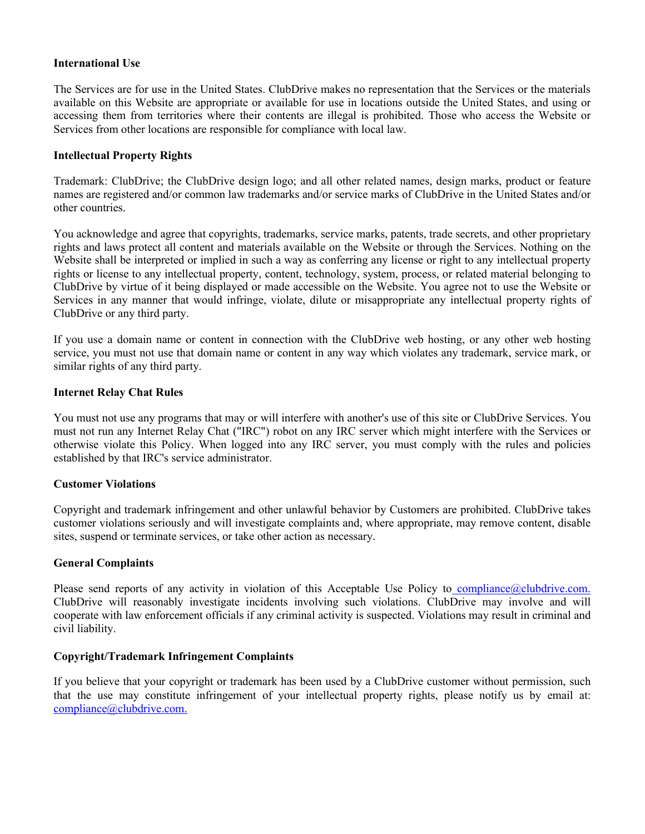# **International Use**

The Services are for use in the United States. ClubDrive makes no representation that the Services or the materials available on this Website are appropriate or available for use in locations outside the United States, and using or accessing them from territories where their contents are illegal is prohibited. Those who access the Website or Services from other locations are responsible for compliance with local law.

# **Intellectual Property Rights**

Trademark: ClubDrive; the ClubDrive design logo; and all other related names, design marks, product or feature names are registered and/or common law trademarks and/or service marks of ClubDrive in the United States and/or other countries.

You acknowledge and agree that copyrights, trademarks, service marks, patents, trade secrets, and other proprietary rights and laws protect all content and materials available on the Website or through the Services. Nothing on the Website shall be interpreted or implied in such a way as conferring any license or right to any intellectual property rights or license to any intellectual property, content, technology, system, process, or related material belonging to ClubDrive by virtue of it being displayed or made accessible on the Website. You agree not to use the Website or Services in any manner that would infringe, violate, dilute or misappropriate any intellectual property rights of ClubDrive or any third party.

If you use a domain name or content in connection with the ClubDrive web hosting, or any other web hosting service, you must not use that domain name or content in any way which violates any trademark, service mark, or similar rights of any third party.

# **Internet Relay Chat Rules**

You must not use any programs that may or will interfere with another's use of this site or ClubDrive Services. You must not run any Internet Relay Chat ("IRC") robot on any IRC server which might interfere with the Services or otherwise violate this Policy. When logged into any IRC server, you must comply with the rules and policies established by that IRC's service administrator.

# **Customer Violations**

Copyright and trademark infringement and other unlawful behavior by Customers are prohibited. ClubDrive takes customer violations seriously and will investigate complaints and, where appropriate, may remove content, disable sites, suspend or terminate services, or take other action as necessary.

# **General Complaints**

Please send reports of any activity in violation of this Acceptable Use Policy to compliance@clubdrive.com. ClubDrive will reasonably investigate incidents involving such violations. ClubDrive may involve and will cooperate with law enforcement officials if any criminal activity is suspected. Violations may result in criminal and civil liability.

# **Copyright/Trademark Infringement Complaints**

If you believe that your copyright or trademark has been used by a ClubDrive customer without permission, such that the use may constitute infringement of your intellectual property rights, please notify us by email at: compliance@clubdrive.com.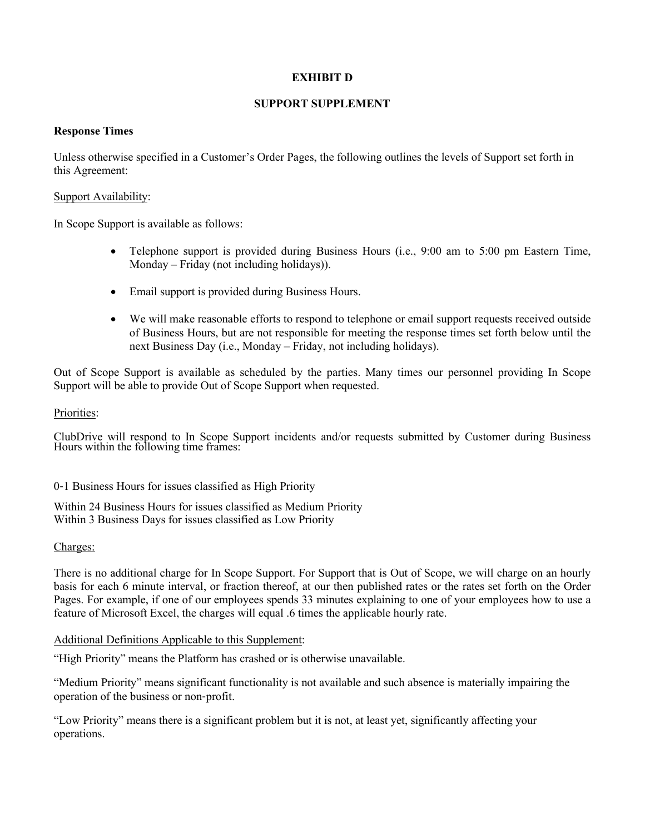# **EXHIBIT D**

# **SUPPORT SUPPLEMENT**

# **Response Times**

Unless otherwise specified in a Customer's Order Pages, the following outlines the levels of Support set forth in this Agreement:

# Support Availability:

In Scope Support is available as follows:

- Telephone support is provided during Business Hours (i.e., 9:00 am to 5:00 pm Eastern Time, Monday – Friday (not including holidays)).
- Email support is provided during Business Hours.
- We will make reasonable efforts to respond to telephone or email support requests received outside of Business Hours, but are not responsible for meeting the response times set forth below until the next Business Day (i.e., Monday – Friday, not including holidays).

Out of Scope Support is available as scheduled by the parties. Many times our personnel providing In Scope Support will be able to provide Out of Scope Support when requested.

# Priorities:

ClubDrive will respond to In Scope Support incidents and/or requests submitted by Customer during Business Hours within the following time frames:

0-1 Business Hours for issues classified as High Priority

Within 24 Business Hours for issues classified as Medium Priority Within 3 Business Days for issues classified as Low Priority

# Charges:

There is no additional charge for In Scope Support. For Support that is Out of Scope, we will charge on an hourly basis for each 6 minute interval, or fraction thereof, at our then published rates or the rates set forth on the Order Pages. For example, if one of our employees spends 33 minutes explaining to one of your employees how to use a feature of Microsoft Excel, the charges will equal .6 times the applicable hourly rate.

# Additional Definitions Applicable to this Supplement:

"High Priority" means the Platform has crashed or is otherwise unavailable.

"Medium Priority" means significant functionality is not available and such absence is materially impairing the operation of the business or non-profit.

"Low Priority" means there is a significant problem but it is not, at least yet, significantly affecting your operations.